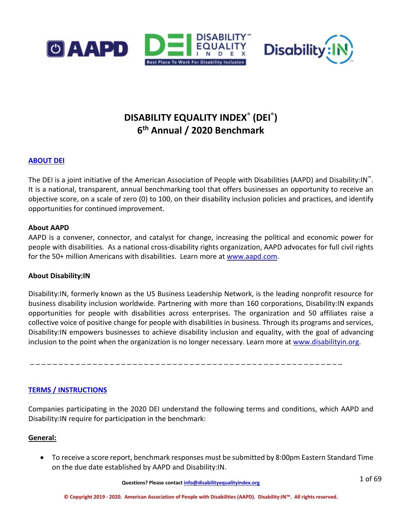



# **DISABILITY EQUALITY INDEX**® **(DEI**®**) 6th Annual / 2020 Benchmark**

# **ABOUT DEI**

The DEI is a joint initiative of the American Association of People with Disabilities (AAPD) and Disability:IN™. It is a national, transparent, annual benchmarking tool that offers businesses an opportunity to receive an objective score, on a scale of zero (0) to 100, on their disability inclusion policies and practices, and identify opportunities for continued improvement.

### **About AAPD**

AAPD is a convener, connector, and catalyst for change, increasing the political and economic power for people with disabilities. As a national cross-disability rights organization, AAPD advocates for full civil rights for the 50+ million Americans with disabilities. Learn more at [www.aapd.com.](http://www.aapd.com/)

# **About Disability:IN**

Disability:IN, formerly known as the US Business Leadership Network, is the leading nonprofit resource for business disability inclusion worldwide. Partnering with more than 160 corporations, Disability:IN expands opportunities for people with disabilities across enterprises. The organization and 50 affiliates raise a collective voice of positive change for people with disabilities in business. Through its programs and services, Disability:IN empowers businesses to achieve disability inclusion and equality, with the goal of advancing inclusion to the point when the organization is no longer necessary. Learn more at [www.disabilityin.org.](http://www.disabilityin.org/)

\_ \_ \_ \_ \_ \_ \_ \_ \_ \_ \_ \_ \_ \_ \_ \_ \_ \_ \_ \_ \_ \_ \_ \_ \_ \_ \_ \_ \_ \_ \_ \_ \_ \_ \_ \_ \_ \_ \_ \_ \_ \_ \_ \_ \_ \_ \_ \_ \_ \_ \_ \_ \_ \_ \_

# **TERMS / INSTRUCTIONS**

Companies participating in the 2020 DEI understand the following terms and conditions, which AAPD and Disability:IN require for participation in the benchmark:

# **General:**

• To receive a score report, benchmark responses must be submitted by 8:00pm Eastern Standard Time on the due date established by AAPD and Disability:IN.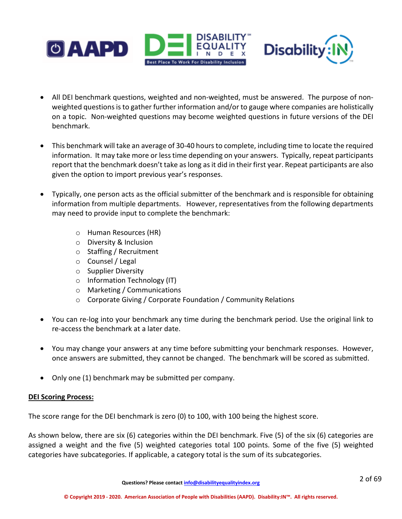



- All DEI benchmark questions, weighted and non-weighted, must be answered. The purpose of nonweighted questions is to gather further information and/or to gauge where companies are holistically on a topic. Non-weighted questions may become weighted questions in future versions of the DEI benchmark.
- This benchmark will take an average of 30-40 hours to complete, including time to locate the required information. It may take more or less time depending on your answers. Typically, repeat participants report that the benchmark doesn't take as long as it did in their first year. Repeat participants are also given the option to import previous year's responses.
- Typically, one person acts as the official submitter of the benchmark and is responsible for obtaining information from multiple departments. However, representatives from the following departments may need to provide input to complete the benchmark:
	- o Human Resources (HR)
	- o Diversity & Inclusion
	- o Staffing / Recruitment
	- o Counsel / Legal
	- o Supplier Diversity
	- o Information Technology (IT)
	- o Marketing / Communications
	- o Corporate Giving / Corporate Foundation / Community Relations
- You can re-log into your benchmark any time during the benchmark period. Use the original link to re-access the benchmark at a later date.
- You may change your answers at any time before submitting your benchmark responses. However, once answers are submitted, they cannot be changed. The benchmark will be scored as submitted.
- Only one (1) benchmark may be submitted per company.

# **DEI Scoring Process:**

The score range for the DEI benchmark is zero (0) to 100, with 100 being the highest score.

As shown below, there are six (6) categories within the DEI benchmark. Five (5) of the six (6) categories are assigned a weight and the five (5) weighted categories total 100 points. Some of the five (5) weighted categories have subcategories. If applicable, a category total is the sum of its subcategories.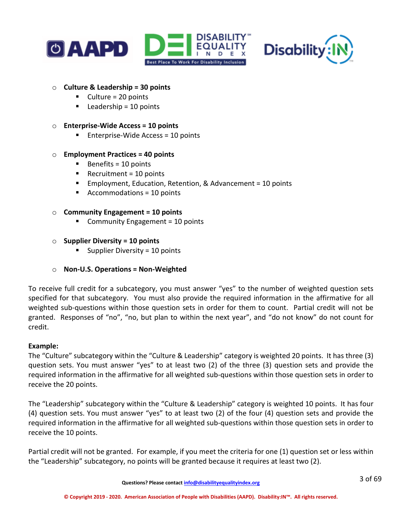



### o **Culture & Leadership = 30 points**

- $\blacksquare$  Culture = 20 points
- $\blacksquare$  Leadership = 10 points

### o **Enterprise-Wide Access = 10 points**

 $\blacksquare$  Enterprise-Wide Access = 10 points

### o **Employment Practices = 40 points**

- $\blacksquare$  Benefits = 10 points
- Recruitment =  $10$  points
- Employment, Education, Retention, & Advancement = 10 points
- Accommodations = 10 points

### o **Community Engagement = 10 points**

■ Community Engagement = 10 points

### o **Supplier Diversity = 10 points**

Supplier Diversity = 10 points

# o **Non-U.S. Operations = Non-Weighted**

To receive full credit for a subcategory, you must answer "yes" to the number of weighted question sets specified for that subcategory. You must also provide the required information in the affirmative for all weighted sub-questions within those question sets in order for them to count. Partial credit will not be granted. Responses of "no", "no, but plan to within the next year", and "do not know" do not count for credit.

### **Example:**

The "Culture" subcategory within the "Culture & Leadership" category is weighted 20 points. It has three (3) question sets. You must answer "yes" to at least two (2) of the three (3) question sets and provide the required information in the affirmative for all weighted sub-questions within those question sets in order to receive the 20 points.

The "Leadership" subcategory within the "Culture & Leadership" category is weighted 10 points. It has four (4) question sets. You must answer "yes" to at least two (2) of the four (4) question sets and provide the required information in the affirmative for all weighted sub-questions within those question sets in order to receive the 10 points.

Partial credit will not be granted. For example, if you meet the criteria for one (1) question set or less within the "Leadership" subcategory, no points will be granted because it requires at least two (2).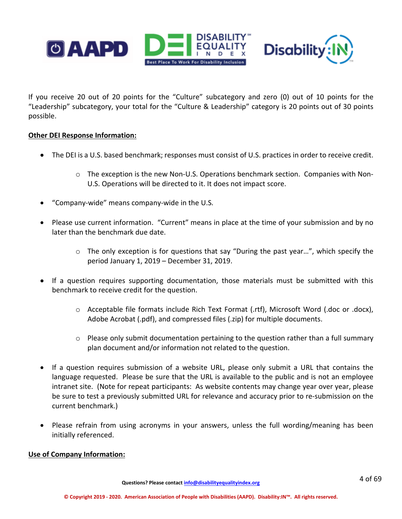

If you receive 20 out of 20 points for the "Culture" subcategory and zero (0) out of 10 points for the "Leadership" subcategory, your total for the "Culture & Leadership" category is 20 points out of 30 points possible.

# **Other DEI Response Information:**

- The DEI is a U.S. based benchmark; responses must consist of U.S. practices in order to receive credit.
	- $\circ$  The exception is the new Non-U.S. Operations benchmark section. Companies with Non-U.S. Operations will be directed to it. It does not impact score.
- "Company-wide" means company-wide in the U.S.
- Please use current information. "Current" means in place at the time of your submission and by no later than the benchmark due date.
	- $\circ$  The only exception is for questions that say "During the past year...", which specify the period January 1, 2019 – December 31, 2019.
- If a question requires supporting documentation, those materials must be submitted with this benchmark to receive credit for the question.
	- o Acceptable file formats include Rich Text Format (.rtf), Microsoft Word (.doc or .docx), Adobe Acrobat (.pdf), and compressed files (.zip) for multiple documents.
	- o Please only submit documentation pertaining to the question rather than a full summary plan document and/or information not related to the question.
- If a question requires submission of a website URL, please only submit a URL that contains the language requested. Please be sure that the URL is available to the public and is not an employee intranet site. (Note for repeat participants: As website contents may change year over year, please be sure to test a previously submitted URL for relevance and accuracy prior to re-submission on the current benchmark.)
- Please refrain from using acronyms in your answers, unless the full wording/meaning has been initially referenced.

### **Use of Company Information:**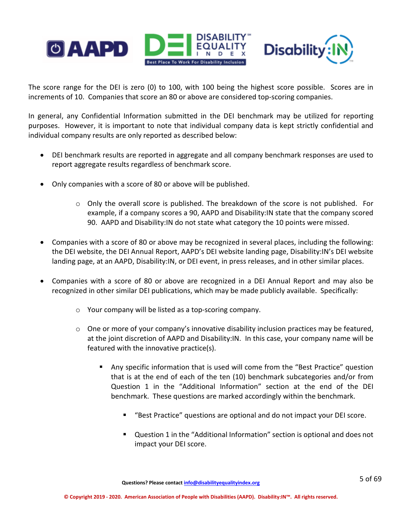

The score range for the DEI is zero (0) to 100, with 100 being the highest score possible. Scores are in increments of 10. Companies that score an 80 or above are considered top-scoring companies.

In general, any Confidential Information submitted in the DEI benchmark may be utilized for reporting purposes. However, it is important to note that individual company data is kept strictly confidential and individual company results are only reported as described below:

- DEI benchmark results are reported in aggregate and all company benchmark responses are used to report aggregate results regardless of benchmark score.
- Only companies with a score of 80 or above will be published.
	- $\circ$  Only the overall score is published. The breakdown of the score is not published. For example, if a company scores a 90, AAPD and Disability:IN state that the company scored 90. AAPD and Disability:IN do not state what category the 10 points were missed.
- Companies with a score of 80 or above may be recognized in several places, including the following: the DEI website, the DEI Annual Report, AAPD's DEI website landing page, Disability:IN's DEI website landing page, at an AAPD, Disability:IN, or DEI event, in press releases, and in other similar places.
- Companies with a score of 80 or above are recognized in a DEI Annual Report and may also be recognized in other similar DEI publications, which may be made publicly available. Specifically:
	- o Your company will be listed as a top-scoring company.
	- $\circ$  One or more of your company's innovative disability inclusion practices may be featured, at the joint discretion of AAPD and Disability:IN. In this case, your company name will be featured with the innovative practice(s).
		- Any specific information that is used will come from the "Best Practice" question that is at the end of each of the ten (10) benchmark subcategories and/or from Question 1 in the "Additional Information" section at the end of the DEI benchmark. These questions are marked accordingly within the benchmark.
			- "Best Practice" questions are optional and do not impact your DEI score.
			- Question 1 in the "Additional Information" section is optional and does not impact your DEI score.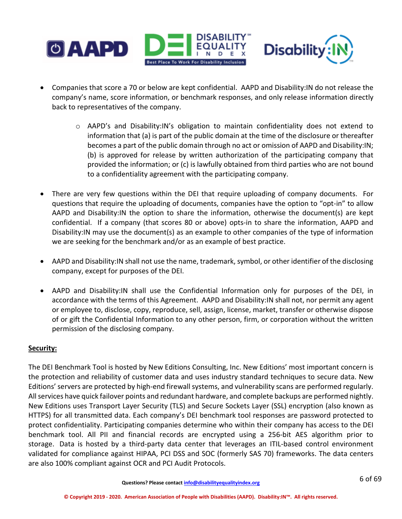

- Companies that score a 70 or below are kept confidential. AAPD and Disability:IN do not release the company's name, score information, or benchmark responses, and only release information directly back to representatives of the company.
	- $\circ$  AAPD's and Disability: IN's obligation to maintain confidentiality does not extend to information that (a) is part of the public domain at the time of the disclosure or thereafter becomes a part of the public domain through no act or omission of AAPD and Disability:IN; (b) is approved for release by written authorization of the participating company that provided the information; or (c) is lawfully obtained from third parties who are not bound to a confidentiality agreement with the participating company.
- There are very few questions within the DEI that require uploading of company documents. For questions that require the uploading of documents, companies have the option to "opt-in" to allow AAPD and Disability:IN the option to share the information, otherwise the document(s) are kept confidential. If a company (that scores 80 or above) opts-in to share the information, AAPD and Disability:IN may use the document(s) as an example to other companies of the type of information we are seeking for the benchmark and/or as an example of best practice.
- AAPD and Disability:IN shall not use the name, trademark, symbol, or other identifier of the disclosing company, except for purposes of the DEI.
- AAPD and Disability:IN shall use the Confidential Information only for purposes of the DEI, in accordance with the terms of this Agreement. AAPD and Disability:IN shall not, nor permit any agent or employee to, disclose, copy, reproduce, sell, assign, license, market, transfer or otherwise dispose of or gift the Confidential Information to any other person, firm, or corporation without the written permission of the disclosing company.

# **Security:**

The DEI Benchmark Tool is hosted by New Editions Consulting, Inc. New Editions' most important concern is the protection and reliability of customer data and uses industry standard techniques to secure data. New Editions' servers are protected by high-end firewall systems, and vulnerability scans are performed regularly. All services have quick failover points and redundant hardware, and complete backups are performed nightly. New Editions uses Transport Layer Security (TLS) and Secure Sockets Layer (SSL) encryption (also known as HTTPS) for all transmitted data. Each company's DEI benchmark tool responses are password protected to protect confidentiality. Participating companies determine who within their company has access to the DEI benchmark tool. All PII and financial records are encrypted using a 256-bit AES algorithm prior to storage. Data is hosted by a third-party data center that leverages an ITIL-based control environment validated for compliance against HIPAA, PCI DSS and SOC (formerly SAS 70) frameworks. The data centers are also 100% compliant against OCR and PCI Audit Protocols.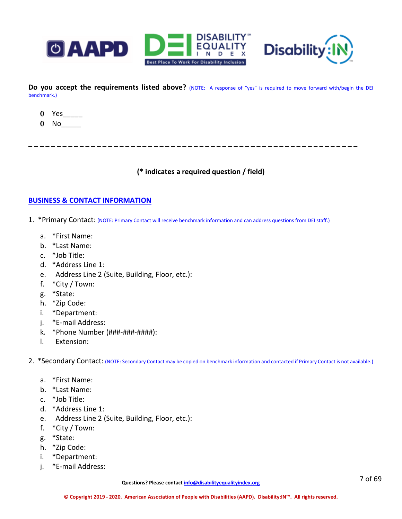



Do you accept the requirements listed above? (NOTE: A response of "yes" is required to move forward with/begin the DEI benchmark.)



 $0$  No $\_\_\_\_\_\$ 

**(\* indicates a required question / field)**

\_ \_ \_ \_ \_ \_ \_ \_ \_ \_ \_ \_ \_ \_ \_ \_ \_ \_ \_ \_ \_ \_ \_ \_ \_ \_ \_ \_ \_ \_ \_ \_ \_ \_ \_ \_ \_ \_ \_ \_ \_ \_ \_ \_ \_ \_ \_ \_ \_ \_ \_ \_ \_ \_ \_ \_ \_ \_

### **BUSINESS & CONTACT INFORMATION**

- 1. \*Primary Contact: (NOTE: Primary Contact will receive benchmark information and can address questions from DEI staff.)
	- a. \*First Name:
	- b. \*Last Name:
	- c. \*Job Title:
	- d. \*Address Line 1:
	- e. Address Line 2 (Suite, Building, Floor, etc.):
	- f. \*City / Town:
	- g. \*State:
	- h. \*Zip Code:
	- i. \*Department:
	- j. \*E-mail Address:
	- k. \*Phone Number (###-###-####):
	- l. Extension:

2. \*Secondary Contact: (NOTE: Secondary Contact may be copied on benchmark information and contacted if Primary Contact is not available.)

- a. \*First Name:
- b. \*Last Name:
- c. \*Job Title:
- d. \*Address Line 1:
- e. Address Line 2 (Suite, Building, Floor, etc.):
- f. \*City / Town:
- g. \*State:
- h. \*Zip Code:
- i. \*Department:
- j. \*E-mail Address: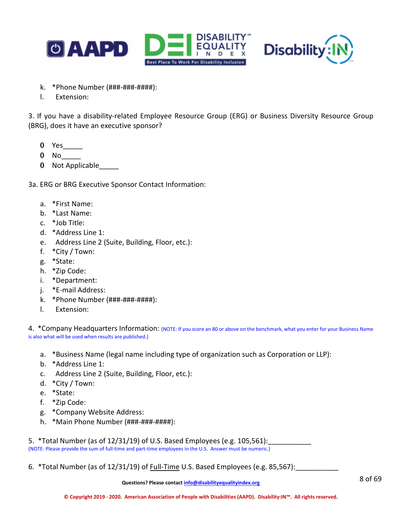



- k. \*Phone Number (###-###-####):
- l. Extension:

3. If you have a disability-related Employee Resource Group (ERG) or Business Diversity Resource Group (BRG), does it have an executive sponsor?

- 0 Yes\_\_\_\_\_\_
- 0 No\_\_\_\_\_
- 0 Not Applicable

3a. ERG or BRG Executive Sponsor Contact Information:

- a. \*First Name:
- b. \*Last Name:
- c. \*Job Title:
- d. \*Address Line 1:
- e. Address Line 2 (Suite, Building, Floor, etc.):
- f. \*City / Town:
- g. \*State:
- h. \*Zip Code:
- i. \*Department:
- j. \*E-mail Address:
- k. \*Phone Number (###-###-####):
- l. Extension:

4. \*Company Headquarters Information: (NOTE: If you score an 80 or above on the benchmark, what you enter for your Business Name is also what will be used when results are published.)

- a. \*Business Name (legal name including type of organization such as Corporation or LLP):
- b. \*Address Line 1:
- c. Address Line 2 (Suite, Building, Floor, etc.):
- d. \*City / Town:
- e. \*State:
- f. \*Zip Code:
- g. \*Company Website Address:
- h. \*Main Phone Number (###-###-####):

5. \*Total Number (as of  $12/31/19$ ) of U.S. Based Employees (e.g. 105,561):

(NOTE: Please provide the sum of full-time and part-time employees in the U.S. Answer must be numeric.)

6. \*Total Number (as of 12/31/19) of Full-Time U.S. Based Employees (e.g. 85,567):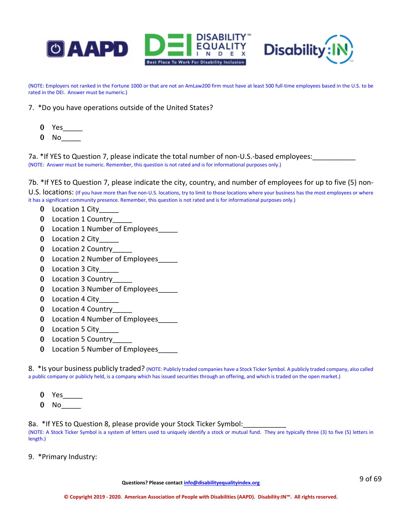



(NOTE: Employers not ranked in the Fortune 1000 or that are not an AmLaw200 firm must have at least 500 full-time employees based in the U.S. to be rated in the DEI. Answer must be numeric.)

- 7. \*Do you have operations outside of the United States?
	- $0$  Yes $\_\_$
	- 0 No\_\_\_\_\_

7a. \*If YES to Question 7, please indicate the total number of non-U.S.-based employees: (NOTE: Answer must be numeric. Remember, this question is not rated and is for informational purposes only.)

7b. \*If YES to Question 7, please indicate the city, country, and number of employees for up to five (5) non-U.S. locations: (If you have more than five non-U.S. locations, try to limit to those locations where your business has the most employees or where it has a significant community presence. Remember, this question is not rated and is for informational purposes only.)

- 0 Location 1 City
- 0 Location 1 Country
- 0 Location 1 Number of Employees
- 0 Location 2 City\_\_\_\_\_
- 0 Location 2 Country
- 0 Location 2 Number of Employees\_\_\_\_\_
- 0 Location 3 City
- 0 Location 3 Country
- 0 Location 3 Number of Employees\_\_\_\_\_
- 0 Location 4 City
- 0 Location 4 Country
- 0 Location 4 Number of Employees\_\_\_\_\_
- 0 Location 5 City
- 0 Location 5 Country
- 0 Location 5 Number of Employees

8. \*Is your business publicly traded? (NOTE: Publicly traded companies have a Stock Ticker Symbol. A publicly traded company, also called a public company or publicly held, is a company which has issued securities through an offering, and which is traded on the open market.)

- 0 Yes
- 0 No\_\_\_\_\_

8a. \*If YES to Question 8, please provide your Stock Ticker Symbol:<br>(NOTE: A Stock Ticker Symbol is a system of letters used to uniquely identify a stock or mutual fund. They are typically three (3) to five (5) letters in length.)

9.\*Primary Industry: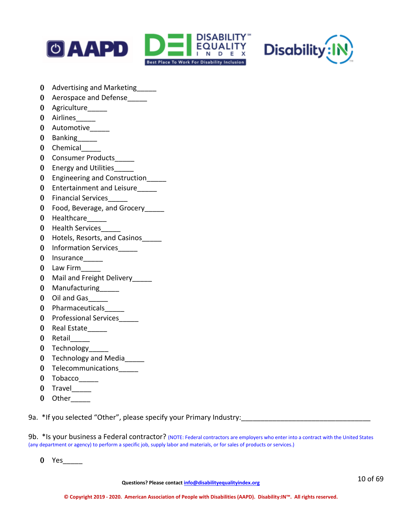



- 0 Advertising and Marketing
- 0 Aerospace and Defense
- 0 Agriculture
- 0 Airlines
- 0 Automotive
- 0 Banking
- 0 Chemical
- 0 Consumer Products
- 0 Energy and Utilities
- 0 Engineering and Construction
- 0 Entertainment and Leisure
- 0 Financial Services\_\_\_\_\_
- 0 Food, Beverage, and Grocery\_\_\_\_
- 0 Healthcare \_\_\_\_\_
- 0 Health Services
- 0 Hotels, Resorts, and Casinos
- 0 Information Services
- 0 Insurance\_\_\_\_\_
- 0 Law Firm\_\_\_\_\_
- 0 Mail and Freight Delivery
- 0 Manufacturing
- 0 Oil and Gas
- 0 Pharmaceuticals\_\_\_\_\_
- 0 Professional Services
- 0 Real Estate
- 0 Retail
- 0 Technology
- 0 Technology and Media\_\_\_\_\_
- 0 Telecommunications
- 0 Tobacco\_\_\_\_\_
- 0 Travel
- 0 Other

9a.\*If you selected "Other", please specify your Primary Industry:\_\_\_\_\_\_\_\_\_\_\_\_\_\_\_\_\_\_\_\_\_\_\_\_\_\_\_\_\_\_\_\_\_

9b. \* Is your business a Federal contractor? (NOTE: Federal contractors are employers who enter into a contract with the United States (any department or agency) to perform a specific job, supply labor and materials, or for sales of products or services.)

0 Yes\_\_\_\_\_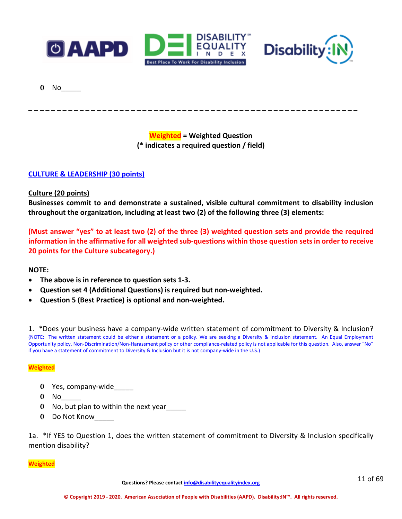



0 No<sub>\_\_\_</sub>

**Weighted = Weighted Question (\* indicates a required question / field)**

\_ \_ \_ \_ \_ \_ \_ \_ \_ \_ \_ \_ \_ \_ \_ \_ \_ \_ \_ \_ \_ \_ \_ \_ \_ \_ \_ \_ \_ \_ \_ \_ \_ \_ \_ \_ \_ \_ \_ \_ \_ \_ \_ \_ \_ \_ \_ \_ \_ \_ \_ \_ \_ \_ \_ \_ \_ \_

**CULTURE & LEADERSHIP (30 points)** 

**Culture (20 points)**

**Businesses commit to and demonstrate a sustained, visible cultural commitment to disability inclusion throughout the organization, including at least two (2) of the following three (3) elements:**

**(Must answer "yes" to at least two (2) of the three (3) weighted question sets and provide the required information in the affirmative for all weighted sub-questions within those question sets in order to receive 20 points for the Culture subcategory.)**

### **NOTE:**

- **The above is in reference to question sets 1-3.**
- **Question set 4 (Additional Questions) is required but non-weighted.**
- **Question 5 (Best Practice) is optional and non-weighted.**

1. \*Does your business have a company-wide written statement of commitment to Diversity & Inclusion? (NOTE: The written statement could be either a statement or a policy. We are seeking a Diversity & Inclusion statement. An Equal Employment Opportunity policy, Non-Discrimination/Non-Harassment policy or other compliance-related policy is not applicable for this question. Also, answer "No" if you have a statement of commitment to Diversity & Inclusion but it is not company-wide in the U.S.)

### **Weighted**

- 0 Yes, company-wide
- $0$  No
- 0 No, but plan to within the next year
- 0 Do Not Know\_\_\_\_\_

1a. \*If YES to Question 1, does the written statement of commitment to Diversity & Inclusion specifically mention disability?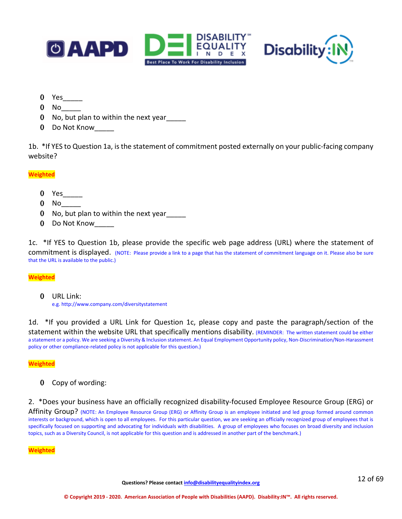



- 0 Yes\_\_\_\_\_
- 0 No<sub>\_\_</sub>
- 0 No, but plan to within the next year\_\_\_\_\_
- 0 Do Not Know\_\_\_\_\_

1b. \*If YES to Question 1a, is the statement of commitment posted externally on your public-facing company website?

### **Weighted**

- 0 Yes
- $0$  No
- 0 No, but plan to within the next year
- 0 Do Not Know

1c. \*If YES to Question 1b, please provide the specific web page address (URL) where the statement of commitment is displayed. (NOTE: Please provide a link to a page that has the statement of commitment language on it. Please also be sure that the URL is available to the public.)

### **Weighted**

0 URL Link: e.g. http://www.company.com/diversitystatement

1d. \*If you provided a URL Link for Question 1c, please copy and paste the paragraph/section of the statement within the website URL that specifically mentions disability. (REMINDER: The written statement could be either a statement or a policy. We are seeking a Diversity & Inclusion statement. An Equal Employment Opportunity policy, Non-Discrimination/Non-Harassment policy or other compliance-related policy is not applicable for this question.)

#### **Weighted**

0 Copy of wording:

2.\*Does your business have an officially recognized disability-focused Employee Resource Group (ERG) or

Affinity Group? (NOTE: An Employee Resource Group (ERG) or Affinity Group is an employee initiated and led group formed around common interests or background, which is open to all employees. For this particular question, we are seeking an officially recognized group of employees that is specifically focused on supporting and advocating for individuals with disabilities. A group of employees who focuses on broad diversity and inclusion topics, such as a Diversity Council, is not applicable for this question and is addressed in another part of the benchmark.)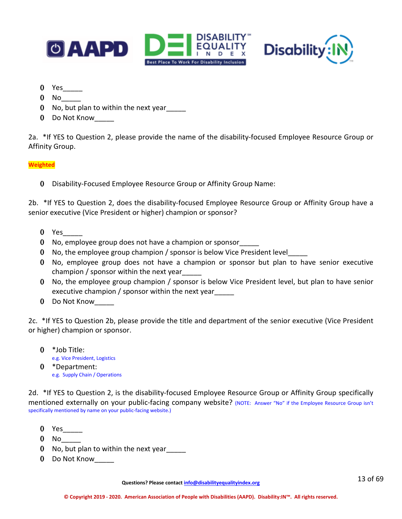



- 0 Yes\_\_\_\_\_
- $0$  No
- 0 No, but plan to within the next year
- 0 Do Not Know

2a. \*If YES to Question 2, please provide the name of the disability-focused Employee Resource Group or Affinity Group.

### **Weighted**

0 Disability-Focused Employee Resource Group or Affinity Group Name:

2b. \*If YES to Question 2, does the disability-focused Employee Resource Group or Affinity Group have a senior executive (Vice President or higher) champion or sponsor?

- 0 Yes
- 0 No, employee group does not have a champion or sponsor\_\_\_\_\_
- 0 No, the employee group champion / sponsor is below Vice President level\_\_\_\_\_
- 0 No, employee group does not have a champion or sponsor but plan to have senior executive champion / sponsor within the next year\_\_\_\_\_
- 0 No, the employee group champion / sponsor is below Vice President level, but plan to have senior executive champion / sponsor within the next year\_\_\_\_\_
- 0 Do Not Know

2c. \*If YES to Question 2b, please provide the title and department of the senior executive (Vice President or higher) champion or sponsor.

0  $*$  Job Title:<br>e.g. Vice President, Logistics 0 \*Department: e.g. Supply Chain / Operations

2d. \*If YES to Question 2, is the disability-focused Employee Resource Group or Affinity Group specifically mentioned externally on your public-facing company website? (NOTE: Answer "No" if the Employee Resource Group isn't specifically mentioned by name on your public-facing website.)

- 0 Yes\_\_\_\_\_
- $0$  No
- 0 No, but plan to within the next year
- 0 Do Not Know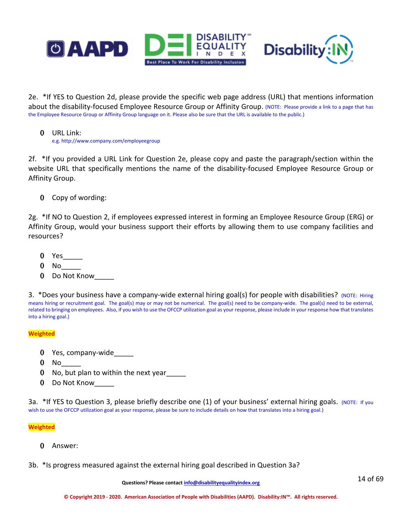



2e. \*If YES to Question 2d, please provide the specific web page address (URL) that mentions information about the disability-focused Employee Resource Group or Affinity Group. (NOTE: Please provide a link to a page that has the Employee Resource Group or Affinity Group language on it. Please also be sure that the URL is available to the public.)

0 URL Link: e.g. http://www.company.com/employeegroup

2f. \*If you provided a URL Link for Question 2e, please copy and paste the paragraph/section within the website URL that specifically mentions the name of the disability-focused Employee Resource Group or Affinity Group.

0 Copy of wording:

2g. \*If NO to Question 2, if employees expressed interest in forming an Employee Resource Group (ERG) or Affinity Group, would your business support their efforts by allowing them to use company facilities and resources?

- 0 Yes\_\_\_\_\_
- 0 No<sub>\_\_</sub>
- 0 Do Not Know

3. *\*Does your business have a company-wide external hiring goal(s) for people with disabilities? (NOTE: Hiring* means hiring or recruitment goal. The goal(s) may or may not be numerical. The goal(s) need to be company-wide. The goal(s) need to be external, related to bringing on employees. Also, if you wish to use the OFCCP utilization goal as your response, please include in your response how that translates into a hiring goal.)

### **Weighted**

- 0 Yes, company-wide
- $0$  No  $-$
- 0 No, but plan to within the next year\_\_\_\_\_
- 0 Do Not Know\_\_\_\_\_

3a. \*If YES to Question 3, please briefly describe one (1) of your business' external hiring goals. (NOTE: If you wish to use the OFCCP utilization goal as your response, please be sure to include details on how that translates into a hiring goal.)

### **Weighted**

- 0 Answer:
- 3b. \*Is progress measured against the external hiring goal described in Question 3a?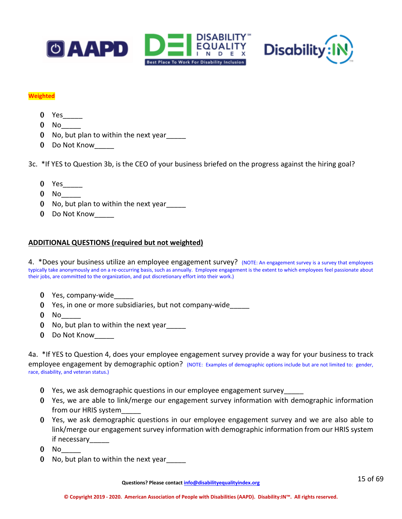



#### **Weighted**

- 0 Yes\_\_\_\_\_
- $0$  No
- 0 No, but plan to within the next year
- 0 Do Not Know\_\_\_\_\_

3c. \*If YES to Question 3b, is the CEO of your business briefed on the progress against the hiring goal?

- 0 Yes\_\_\_\_\_
- $0$  No  $-$
- 0 No, but plan to within the next year\_\_\_\_\_
- 0 Do Not Know

# **ADDITIONAL QUESTIONS (required but not weighted)**

4. \*Does your business utilize an employee engagement survey? (NOTE: An engagement survey is a survey that employees typically take anonymously and on a re-occurring basis, such as annually. Employee engagement is the extent to which employees feel passionate about their jobs, are committed to the organization, and put discretionary effort into their work.)

- 0 Yes, company-wide
- 0 Yes, in one or more subsidiaries, but not company-wide\_\_\_\_\_
- $0$  No
- 0 No, but plan to within the next year\_\_\_\_\_
- 0 Do Not Know

4a. \*If YES to Question 4, does your employee engagement survey provide a way for your business to track employee engagement by demographic option? (NOTE: Examples of demographic options include but are not limited to: gender, race, disability, and veteran status.)

- 0 Yes, we ask demographic questions in our employee engagement survey
- 0 Yes, we are able to link/merge our engagement survey information with demographic information from our HRIS system\_\_\_\_\_
- 0 Yes, we ask demographic questions in our employee engagement survey and we are also able to link/merge our engagement survey information with demographic information from our HRIS system if necessary\_\_\_\_\_
- 0 No\_\_\_\_\_
- 0 No, but plan to within the next year\_\_\_\_\_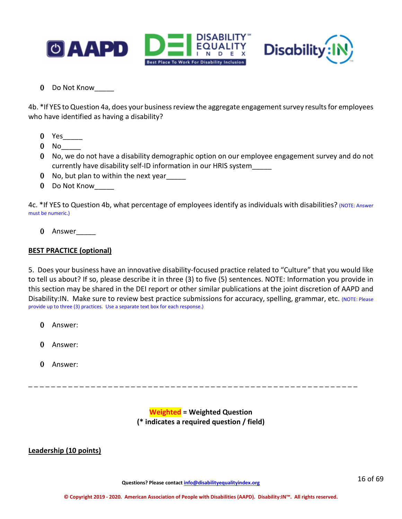



0 Do Not Know\_\_\_\_\_

4b. \*If YES to Question 4a, does your business review the aggregate engagement survey results for employees who have identified as having a disability?

- 0 Yes\_\_\_\_\_
- $0$  No  $-$
- 0 No, we do not have a disability demographic option on our employee engagement survey and do not currently have disability self-ID information in our HRIS system\_\_\_\_\_
- 0 No, but plan to within the next year
- 0 Do Not Know

4c. \*If YES to Question 4b, what percentage of employees identify as individuals with disabilities? (NOTE: Answer must be numeric.)

0 Answer\_\_\_\_\_

# **BEST PRACTICE (optional)**

5. Does your business have an innovative disability-focused practice related to "Culture" that you would like to tell us about? If so, please describe it in three (3) to five (5) sentences. NOTE: Information you provide in this section may be shared in the DEI report or other similar publications at the joint discretion of AAPD and Disability:IN. Make sure to review best practice submissions for accuracy, spelling, grammar, etc. (NOTE: Please provide up to three (3) practices. Use a separate text box for each response.)

- 0 Answer:
- 0 Answer:
- 0 Answer:

**Weighted = Weighted Question (\* indicates a required question / field)**

\_ \_ \_ \_ \_ \_ \_ \_ \_ \_ \_ \_ \_ \_ \_ \_ \_ \_ \_ \_ \_ \_ \_ \_ \_ \_ \_ \_ \_ \_ \_ \_ \_ \_ \_ \_ \_ \_ \_ \_ \_ \_ \_ \_ \_ \_ \_ \_ \_ \_ \_ \_ \_ \_ \_ \_ \_ \_

# **Leadership (10 points)**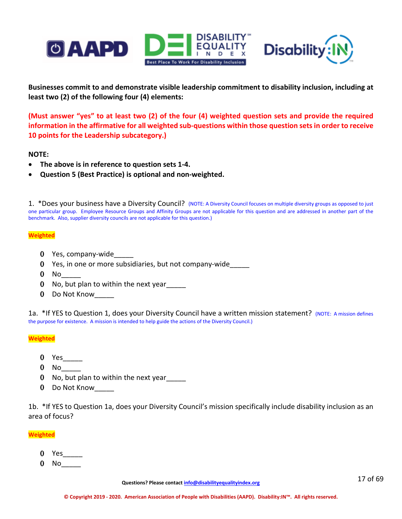



**Businesses commit to and demonstrate visible leadership commitment to disability inclusion, including at least two (2) of the following four (4) elements:**

**(Must answer "yes" to at least two (2) of the four (4) weighted question sets and provide the required information in the affirmative for all weighted sub-questions within those question sets in order to receive 10 points for the Leadership subcategory.)**

**NOTE:**

- **The above is in reference to question sets 1-4.**
- **Question 5 (Best Practice) is optional and non-weighted.**

1.\*Does your business have a Diversity Council? (NOTE: A Diversity Council focuses on multiple diversity groups as opposed to just one particular group. Employee Resource Groups and Affinity Groups are not applicable for this question and are addressed in another part of the benchmark. Also, supplier diversity councils are not applicable for this question.)

#### **Weighted**

- 0 Yes, company-wide
- 0 Yes, in one or more subsidiaries, but not company-wide\_\_\_\_\_
- $0$  No
- 0 No, but plan to within the next year\_\_\_\_\_
- 0 Do Not Know

1a. \*If YES to Question 1, does your Diversity Council have a written mission statement? (NOTE: A mission defines the purpose for existence. A mission is intended to help guide the actions of the Diversity Council.)

**Weighted**

- 0 Yes  $\qquad$
- 0 No\_\_\_\_\_
- 0 No, but plan to within the next year\_\_\_\_\_
- 0 Do Not Know

1b. \*If YES to Question 1a, does your Diversity Council's mission specifically include disability inclusion as an area of focus?

- 0 Yes\_\_\_\_\_
- $0$  No  $-$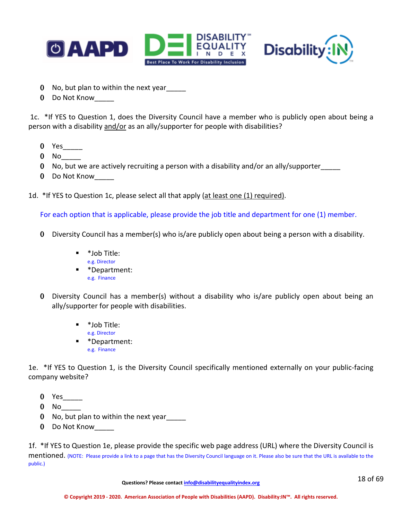



- 0 No, but plan to within the next year\_\_\_\_\_
- 0 Do Not Know

1c. \*If YES to Question 1, does the Diversity Council have a member who is publicly open about being a person with a disability and/or as an ally/supporter for people with disabilities?

- $0$  Yes
- $0$  No  $-$
- 0 No, but we are actively recruiting a person with a disability and/or an ally/supporter\_\_\_\_\_
- 0 Do Not Know

1d. \*If YES to Question 1c, please select all that apply (at least one (1) required).

For each option that is applicable, please provide the job title and department for one (1) member.

- 0 Diversity Council has a member(s) who is/are publicly open about being a person with a disability.
	- \*Job Title: e.g. Director
	- \*Department: e.g. Finance
- 0 Diversity Council has a member(s) without a disability who is/are publicly open about being an ally/supporter for people with disabilities.
	- \*Job Title: e.g. Director
	- \*Department: e.g. Finance

1e. \*If YES to Question 1, is the Diversity Council specifically mentioned externally on your public-facing company website?

- 0 Yes\_\_\_\_\_
- $0$  No
- 0 No, but plan to within the next year
- 0 Do Not Know

1f. \*If YES to Question 1e, please provide the specific web page address (URL) where the Diversity Council is mentioned. (NOTE: Please provide a link to a page that has the Diversity Council language on it. Please also be sure that the URL is available to the public.)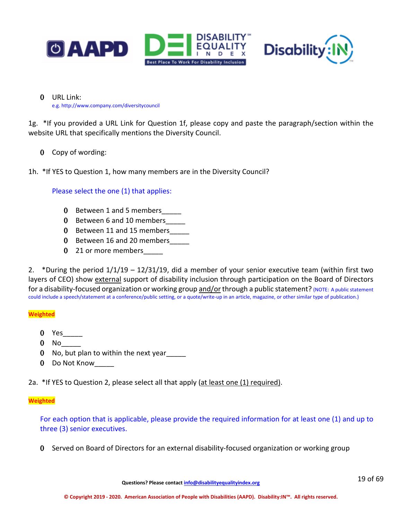



0 URL Link: e.g. http://www.company.com/diversitycouncil

1g. \*If you provided a URL Link for Question 1f, please copy and paste the paragraph/section within the website URL that specifically mentions the Diversity Council.

0 Copy of wording:

1h. \*If YES to Question 1, how many members are in the Diversity Council?

Please select the one (1) that applies:

- 0 Between 1 and 5 members\_\_\_\_\_
- 0 Between 6 and 10 members
- 0 Between 11 and 15 members
- 0 Between 16 and 20 members
- 0 21 or more members

2. \*During the period 1/1/19 – 12/31/19, did a member of your senior executive team (within first two layers of CEO) show external support of disability inclusion through participation on the Board of Directors for a disability-focused organization or working group and/or through a public statement? (NOTE: A public statement could include a speech/statement at a conference/public setting, or a quote/write-up in an article, magazine, or other similar type of publication.)

### **Weighted**

- 0 Yes\_\_\_\_\_
- $0$  No
- 0 No, but plan to within the next year
- 0 Do Not Know\_\_\_\_\_

2a. \*If YES to Question 2, please select all that apply (at least one (1) required).

#### **Weighted**

For each option that is applicable, please provide the required information for at least one (1) and up to three (3) senior executives.

0 Served on Board of Directors for an external disability-focused organization or working group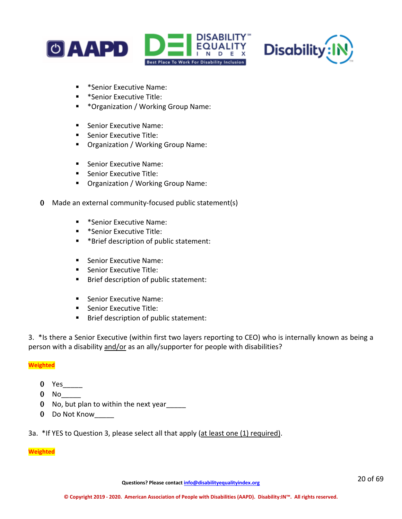



- **EXECUTE:** \*Senior Executive Name:
- **\*** \*Senior Executive Title:
- \*Organization / Working Group Name:
- Senior Executive Name:
- **Senior Executive Title:**
- **Organization / Working Group Name:**
- Senior Executive Name:
- **Senior Executive Title:**
- Organization / Working Group Name:
- 0 Made an external community-focused public statement(s)
	- **EXECUTE:** \*Senior Executive Name:
	- **\*** \*Senior Executive Title:
	- \*Brief description of public statement:
	- Senior Executive Name:
	- **Senior Executive Title:**
	- **Brief description of public statement:**
	- Senior Executive Name:
	- Senior Executive Title:
	- **Brief description of public statement:**

3.\*Is there a Senior Executive (within first two layers reporting to CEO) who is internally known as being a person with a disability and/or as an ally/supporter for people with disabilities?

### **Weighted**

- 0 Yes\_\_\_\_\_
- 0 No\_\_\_\_\_
- 0 No, but plan to within the next year
- 0 Do Not Know
- 3a. \*If YES to Question 3, please select all that apply (at least one (1) required).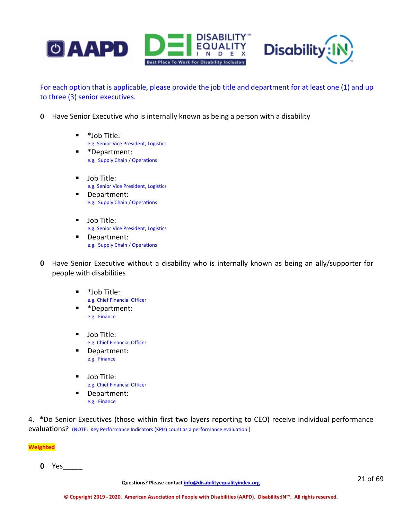

For each option that is applicable, please provide the job title and department for at least one (1) and up to three (3) senior executives.

- 0 Have Senior Executive who is internally known as being a person with a disability
	- \*Job Title: e.g. Senior Vice President, Logistics
	- \*Department: e.g. Supply Chain / Operations
	- **Job Title:** e.g. Senior Vice President, Logistics
	- Department: e.g. Supply Chain / Operations
	- **Job Title:** e.g. Senior Vice President, Logistics
	- Department: e.g. Supply Chain / Operations
- 0 Have Senior Executive without a disability who is internally known as being an ally/supporter for people with disabilities
	- \*Job Title: e.g. Chief Financial Officer
	- **E** \*Department: e.g. Finance
	- **Job Title:** e.g. Chief Financial Officer
	- Department: e.g. Finance
	- **Job Title:** e.g. Chief Financial Officer
	- Department: e.g. Finance

4. \*Do Senior Executives (those within first two layers reporting to CEO) receive individual performance evaluations? (NOTE: Key Performance Indicators (KPIs) count as a performance evaluation.)

**Weighted**

0 Yes\_\_\_\_\_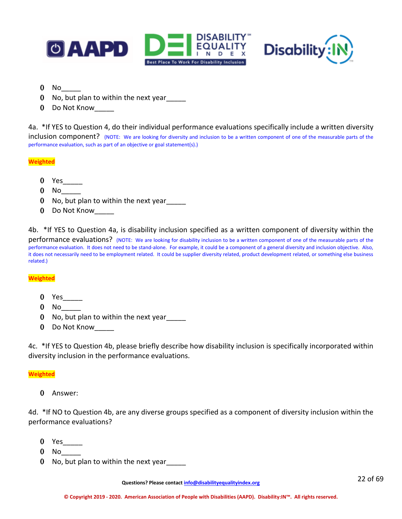



- $0$  No
- 0 No, but plan to within the next year
- 0 Do Not Know

4a. \*If YES to Question 4, do their individual performance evaluations specifically include a written diversity inclusion component? (NOTE: We are looking for diversity and inclusion to be a written component of one of the measurable parts of the performance evaluation, such as part of an objective or goal statement(s).)

**Weighted**

- 0 Yes
- $0$  No  $-$
- 0 No, but plan to within the next year\_\_\_\_\_
- 0 Do Not Know

4b. \*If YES to Question 4a, is disability inclusion specified as a written component of diversity within the performance evaluations? (NOTE: We are looking for disability inclusion to be a written component of one of the measurable parts of the performance evaluation. It does not need to be stand-alone. For example, it could be a component of a general diversity and inclusion objective. Also, it does not necessarily need to be employment related. It could be supplier diversity related, product development related, or something else business related.)

#### **Weighted**

- 0 Yes
- $0$  No  $-$
- 0 No, but plan to within the next year
- 0 Do Not Know\_\_\_\_\_

4c. \*If YES to Question 4b, please briefly describe how disability inclusion is specifically incorporated within diversity inclusion in the performance evaluations.

#### **Weighted**

0 Answer:

4d. \*If NO to Question 4b, are any diverse groups specified as a component of diversity inclusion within the performance evaluations?

- 0 Yes \_\_\_\_\_\_
- $0$  No
- 0 No, but plan to within the next year\_\_\_\_\_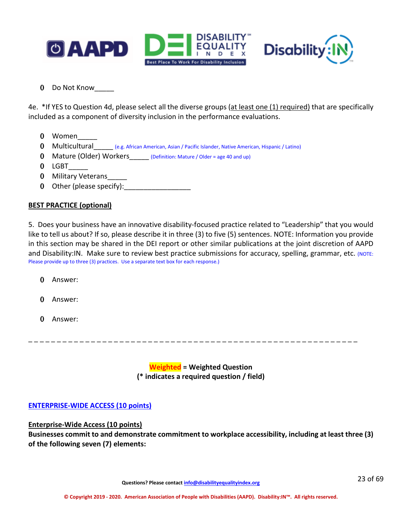



0 Do Not Know\_\_\_\_\_

4e. \*If YES to Question 4d, please select all the diverse groups (at least one (1) required) that are specifically included as a component of diversity inclusion in the performance evaluations.

- 0 Women
- 0 Multicultural (e.g. African American, Asian / Pacific Islander, Native American, Hispanic / Latino)
- 0 Mature (Older) Workers (Definition: Mature / Older = age 40 and up)
- $0$  LGBT
- 0 Military Veterans
- 0 Other (please specify):\_\_\_\_\_\_\_\_\_\_\_\_\_\_\_\_\_

# **BEST PRACTICE (optional)**

5. Does your business have an innovative disability-focused practice related to "Leadership" that you would like to tell us about? If so, please describe it in three (3) to five (5) sentences. NOTE: Information you provide in this section may be shared in the DEI report or other similar publications at the joint discretion of AAPD and Disability: IN. Make sure to review best practice submissions for accuracy, spelling, grammar, etc. (NOTE: Please provide up to three (3) practices. Use a separate text box for each response.)

- 0 Answer:
- 0 Answer:
- 0 Answer:

\_ \_ \_ \_ \_ \_ \_ \_ \_ \_ \_ \_ \_ \_ \_ \_ \_ \_ \_ \_ \_ \_ \_ \_ \_ \_ \_ \_ \_ \_ \_ \_ \_ \_ \_ \_ \_ \_ \_ \_ \_ \_ \_ \_ \_ \_ \_ \_ \_ \_ \_ \_ \_ \_ \_ \_ \_ \_

**Weighted = Weighted Question (\* indicates a required question / field)**

# **ENTERPRISE-WIDE ACCESS (10 points)**

### **Enterprise-Wide Access (10 points)**

**Businesses commit to and demonstrate commitment to workplace accessibility, including at least three (3) of the following seven (7) elements:**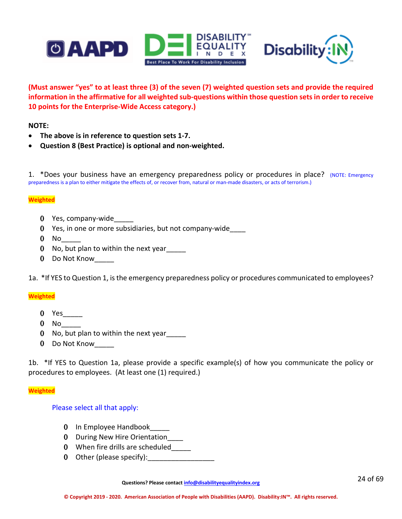



**(Must answer "yes" to at least three (3) of the seven (7) weighted question sets and provide the required information in the affirmative for all weighted sub-questions within those question sets in order to receive 10 points for the Enterprise-Wide Access category.)**

### **NOTE:**

- **The above is in reference to question sets 1-7.**
- **Question 8 (Best Practice) is optional and non-weighted.**

1.\*Does your business have an emergency preparedness policy or procedures in place? (NOTE: Emergency preparedness is a plan to either mitigate the effects of, or recover from, natural or man-made disasters, or acts of terrorism.)

#### **Weighted**

- 0 Yes, company-wide
- 0 Yes, in one or more subsidiaries, but not company-wide\_\_\_\_
- $0$  No
- 0 No, but plan to within the next year
- 0 Do Not Know\_\_\_\_\_

1a.\*If YES to Question 1, is the emergency preparedness policy or procedures communicated to employees?

### **Weighted**

- 0 Yes \_\_\_\_\_\_
- $0$  No  $-$
- 0 No, but plan to within the next year
- 0 Do Not Know

1b.\*If YES to Question 1a, please provide a specific example(s) of how you communicate the policy or procedures to employees. (At least one (1) required.)

#### **Weighted**

### Please select all that apply:

- 0 In Employee Handbook\_\_\_\_\_
- 0 During New Hire Orientation\_\_\_\_
- 0 When fire drills are scheduled\_\_\_\_\_
- 0 Other (please specify):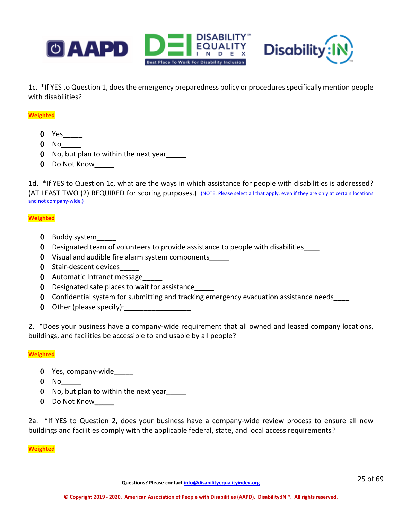



1c.\*If YES to Question 1, does the emergency preparedness policy or proceduresspecifically mention people with disabilities?

#### **Weighted**

- 0 Yes\_\_\_\_\_
- $0$  No
- 0 No, but plan to within the next year\_\_\_\_\_
- 0 Do Not Know

1d. \*If YES to Question 1c, what are the ways in which assistance for people with disabilities is addressed? (AT LEAST TWO (2) REQUIRED for scoring purposes.) (NOTE: Please select all that apply, even if they are only at certain locations and not company-wide.)

#### **Weighted**

- 0 Buddy system
- 0 Designated team of volunteers to provide assistance to people with disabilities
- 0 Visual and audible fire alarm system components\_\_\_\_\_
- 0 Stair-descent devices
- 0 Automatic Intranet message
- 0 Designated safe places to wait for assistance\_\_\_\_\_
- 0 Confidential system for submitting and tracking emergency evacuation assistance needs\_\_\_\_
- 0 Other (please specify):

2. \*Does your business have a company-wide requirement that all owned and leased company locations, buildings, and facilities be accessible to and usable by all people?

#### **Weighted**

- 0 Yes, company-wide
- $0$  No  $-$
- 0 No, but plan to within the next year\_\_\_\_\_
- 0 Do Not Know

2a. \*If YES to Question 2, does your business have a company-wide review process to ensure all new buildings and facilities comply with the applicable federal, state, and local access requirements?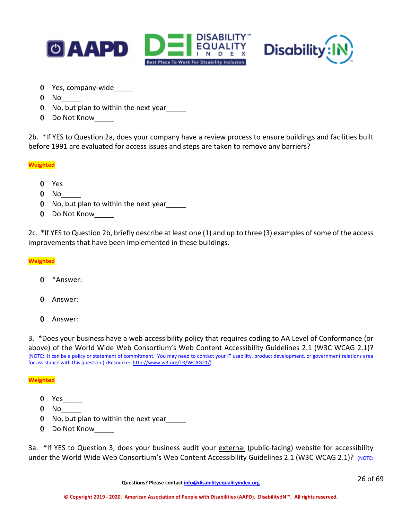



- 0 Yes, company-wide
- $0$  No  $-$
- 0 No, but plan to within the next year
- 0 Do Not Know

2b. \*If YES to Question 2a, does your company have a review process to ensure buildings and facilities built before 1991 are evaluated for access issues and steps are taken to remove any barriers?

**Weighted**

- 0 Yes
- $0$  No  $-$
- 0 No, but plan to within the next year
- 0 Do Not Know\_\_\_\_\_

2c. \*If YES to Question 2b, briefly describe at least one (1) and up to three (3) examples of some of the access improvements that have been implemented in these buildings.

**Weighted**

- 0 \*Answer:
- 0 Answer:
- 0 Answer:

3. \*Does your business have a web accessibility policy that requires coding to AA Level of Conformance (or above) of the World Wide Web Consortium's Web Content Accessibility Guidelines 2.1 (W3C WCAG 2.1)?<br>(NOTE: It can be a policy or statement of commitment. You may need to contact your IT usability, product development, or go for assistance with this question.) (Resource: [http://www.w3.org/TR/WCAG21/\)](http://www.w3.org/TR/WCAG21/)

#### **Weighted**

- 0 Yes\_\_\_\_\_
- $0$  No
- 0 No, but plan to within the next year\_\_\_\_\_
- 0 Do Not Know

3a. \*If YES to Question 3, does your business audit your external (public-facing) website for accessibility under the World Wide Web Consortium's Web Content Accessibility Guidelines 2.1 (W3C WCAG 2.1)? (NOTE: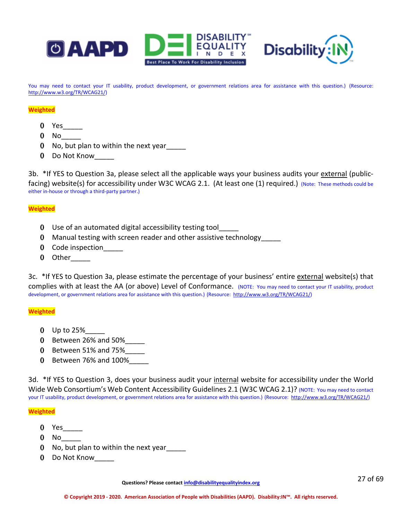



You may need to contact your IT usability, product development, or government relations area for assistance with this question.) (Resource: [http://www.w3.org/TR/WCAG21/\)](http://www.w3.org/TR/WCAG21/)

#### **Weighted**

- $0$  Yes  $\_\_$
- $0$  No
- 0 No, but plan to within the next year\_\_\_\_\_
- 0 Do Not Know\_\_\_\_\_

3b. \*If YES to Question 3a, please select all the applicable ways your business audits your external (publicfacing) website(s) for accessibility under W3C WCAG 2.1. (At least one (1) required.) (Note: These methods could be either in-house or through a third-party partner.)

#### **Weighted**

- 0 Use of an automated digital accessibility testing tool\_\_\_\_\_
- 0 Manual testing with screen reader and other assistive technology\_\_\_\_\_
- 0 Code inspection\_\_\_\_\_
- 0 Other

3c. \*If YES to Question 3a, please estimate the percentage of your business' entire external website(s) that complies with at least the AA (or above) Level of Conformance. (NOTE: You may need to contact your IT usability, product development, or government relations area for assistance with this question.) (Resource: [http://www.w3.org/TR/WCAG21/\)](http://www.w3.org/TR/WCAG21/)

#### **Weighted**

- 0 Up to  $25%$
- 0 Between 26% and 50%\_\_\_\_\_
- 0 Between 51% and 75%\_\_\_\_\_
- 0 Between 76% and 100%\_\_\_\_\_

3d. \*If YES to Question 3, does your business audit your internal website for accessibility under the World Wide Web Consortium's Web Content Accessibility Guidelines 2.1 (W3C WCAG 2.1)? (NOTE: You may need to contact your IT usability, product development, or government relations area for assistance with this question.) (Resource: [http://www.w3.org/TR/WCAG21/\)](http://www.w3.org/TR/WCAG21/)

#### **Weighted**

- 0 Yes\_\_\_\_\_\_\_
- $0$  No
- 0 No, but plan to within the next year\_\_\_\_\_
- 0 Do Not Know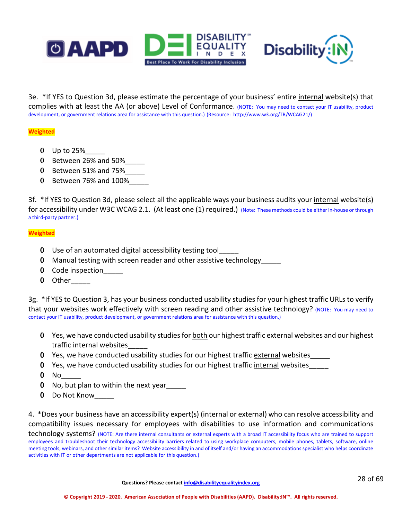



3e. \*If YES to Question 3d, please estimate the percentage of your business' entire internal website(s) that complies with at least the AA (or above) Level of Conformance. (NOTE: You may need to contact your IT usability, product development, or government relations area for assistance with this question.) (Resource: [http://www.w3.org/TR/WCAG21/\)](http://www.w3.org/TR/WCAG21/)

### **Weighted**

- 0 Up to  $25%$
- 0 Between 26% and 50%\_\_\_\_\_
- 0 Between 51% and  $75%$
- 0 Between 76% and 100%\_\_\_\_\_

3f. \*If YES to Question 3d, please select all the applicable ways your business audits your internal website(s) for accessibility under W3C WCAG 2.1. (At least one (1) required.) (Note: These methods could be either in-house or through a third-party partner.)

#### **Weighted**

- 0 Use of an automated digital accessibility testing tool\_\_\_\_\_
- 0 Manual testing with screen reader and other assistive technology\_\_\_\_\_
- 0 Code inspection
- 0 Other

3g. \*If YES to Question 3, has your business conducted usability studies for your highest traffic URLs to verify that your websites work effectively with screen reading and other assistive technology? (NOTE: You may need to contact your IT usability, product development, or government relations area for assistance with this question.)

- 0 Yes, we have conducted usability studies for both our highest traffic external websites and our highest traffic internal websites\_\_\_\_\_
- 0 Yes, we have conducted usability studies for our highest traffic external websites\_\_\_\_\_
- 0 Yes, we have conducted usability studies for our highest traffic internal websites\_\_\_\_\_
- $0$  No  $-$
- 0 No, but plan to within the next year
- 0 Do Not Know\_\_\_\_\_

4. \*Does your business have an accessibility expert(s) (internal or external) who can resolve accessibility and compatibility issues necessary for employees with disabilities to use information and communications technology systems? (NOTE: Are there internal consultants or external experts with a broad IT accessibility focus who are trained to support employees and troubleshoot their technology accessibility barriers related to using workplace computers, mobile phones, tablets, software, online meeting tools, webinars, and other similar items? Website accessibility in and of itself and/or having an accommodations specialist who helps coordinate activities with IT or other departments are not applicable for this question.)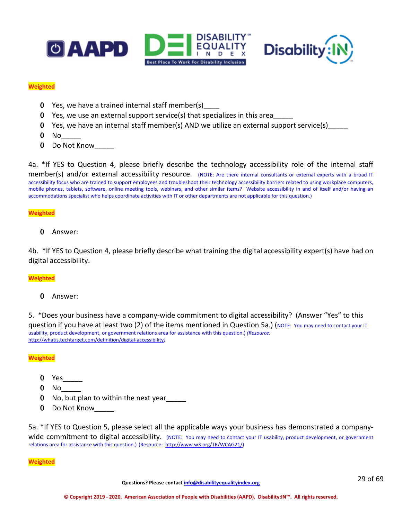



#### **Weighted**

- 0 Yes, we have a trained internal staff member(s)\_\_\_\_
- **0** Yes, we use an external support service(s) that specializes in this area
- 0 Yes, we have an internal staff member(s) AND we utilize an external support service(s)\_\_\_\_\_
- $0$  No
- 0 Do Not Know

4a. \*If YES to Question 4, please briefly describe the technology accessibility role of the internal staff member(s) and/or external accessibility resource. (NOTE: Are there internal consultants or external experts with a broad IT accessibility focus who are trained to support employees and troubleshoot their technology accessibility barriers related to using workplace computers, mobile phones, tablets, software, online meeting tools, webinars, and other similar items? Website accessibility in and of itself and/or having an accommodations specialist who helps coordinate activities with IT or other departments are not applicable for this question.)

#### **Weighted**

0 Answer:

4b. \*If YES to Question 4, please briefly describe what training the digital accessibility expert(s) have had on digital accessibility.

### **Weighted**

0 Answer:

5. \*Does your business have a company-wide commitment to digital accessibility? (Answer "Yes" to this question if you have at least two (2) of the items mentioned in Question 5a.) (NOTE: You may need to contact your IT usability, product development, or government relations area for assistance with this question.) *(Resource:*  <http://whatis.techtarget.com/definition/digital-accessibility>*)*

#### **Weighted**

- 0 Yes
- $0$  No
- 0 No, but plan to within the next year\_\_\_\_\_
- 0 Do Not Know

5a. \*If YES to Question 5, please select all the applicable ways your business has demonstrated a companywide commitment to digital accessibility. (NOTE: You may need to contact your IT usability, product development, or government relations area for assistance with this question.) (Resource: [http://www.w3.org/TR/WCAG21/\)](http://www.w3.org/TR/WCAG21/)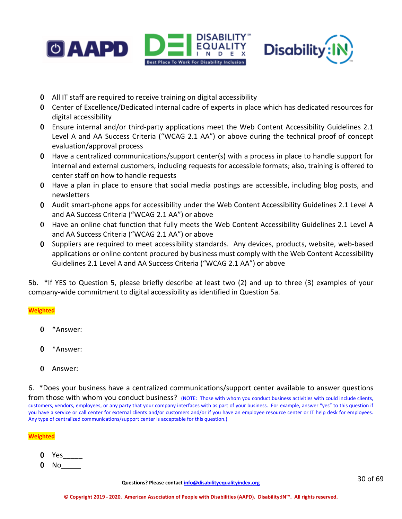

- 0 All IT staff are required to receive training on digital accessibility
- 0 Center of Excellence/Dedicated internal cadre of experts in place which has dedicated resources for digital accessibility
- 0 Ensure internal and/or third-party applications meet the Web Content Accessibility Guidelines 2.1 Level A and AA Success Criteria ("WCAG 2.1 AA") or above during the technical proof of concept evaluation/approval process
- 0 Have a centralized communications/support center(s) with a process in place to handle support for internal and external customers, including requests for accessible formats; also, training is offered to center staff on how to handle requests
- 0 Have a plan in place to ensure that social media postings are accessible, including blog posts, and newsletters
- 0 Audit smart-phone apps for accessibility under the Web Content Accessibility Guidelines 2.1 Level A and AA Success Criteria ("WCAG 2.1 AA") or above
- 0 Have an online chat function that fully meets the Web Content Accessibility Guidelines 2.1 Level A and AA Success Criteria ("WCAG 2.1 AA") or above
- 0 Suppliers are required to meet accessibility standards. Any devices, products, website, web-based applications or online content procured by business must comply with the Web Content Accessibility Guidelines 2.1 Level A and AA Success Criteria ("WCAG 2.1 AA") or above

5b. \*If YES to Question 5, please briefly describe at least two (2) and up to three (3) examples of your company-wide commitment to digital accessibility as identified in Question 5a.

# **Weighted**

- 0 \*Answer:
- 0 \*Answer:
- 0 Answer:

6. \*Does your business have a centralized communications/support center available to answer questions

from those with whom you conduct business? (NOTE: Those with whom you conduct business activities with could include clients, customers, vendors, employees, or any party that your company interfaces with as part of your business. For example, answer "yes" to this question if you have a service or call center for external clients and/or customers and/or if you have an employee resource center or IT help desk for employees. Any type of centralized communications/support center is acceptable for this question.)

- 0 Yes\_\_\_\_\_
- $0$  No  $-$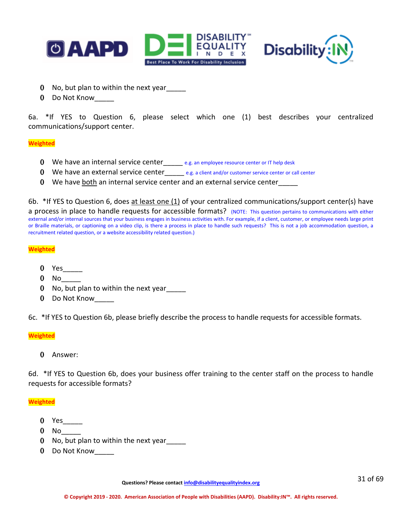



- 0 No, but plan to within the next year
- 0 Do Not Know

6a. \*If YES to Question 6, please select which one (1) best describes your centralized communications/support center.

#### **Weighted**

- 0 We have an internal service center\_\_\_\_\_ e.g. an employee resource center or IT help desk
- 0 We have an external service center  $e.g.$  a client and/or customer service center or call center
- 0 We have both an internal service center and an external service center\_\_\_\_\_

6b. \*If YES to Question 6, does at least one (1) of your centralized communications/support center(s) have

a process in place to handle requests for accessible formats? (NOTE: This question pertains to communications with either external and/or internal sources that your business engages in business activities with. For example, if a client, customer, or employee needs large print or Braille materials, or captioning on a video clip, is there a process in place to handle such requests? This is not a job accommodation question, a recruitment related question, or a website accessibility related question.)

#### **Weighted**

- 0 Yes\_\_\_\_\_
- $0$  No  $-$
- 0 No, but plan to within the next year
- 0 Do Not Know\_\_\_\_\_

6c. \*If YES to Question 6b, please briefly describe the process to handle requests for accessible formats.

#### **Weighted**

0 Answer:

6d. \*If YES to Question 6b, does your business offer training to the center staff on the process to handle requests for accessible formats?

- 0 Yes
- $0$  No  $-$
- 0 No, but plan to within the next year
- 0 Do Not Know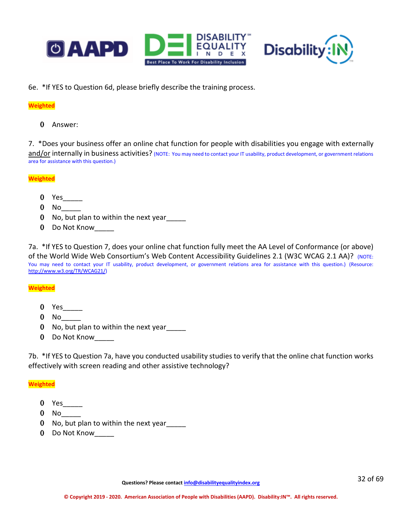



6e. \*If YES to Question 6d, please briefly describe the training process.

### **Weighted**

0 Answer:

7. \*Does your business offer an online chat function for people with disabilities you engage with externally and/or internally in business activities? (NOTE: You may need to contact your IT usability, product development, or government relations area for assistance with this question.)

### **Weighted**

- 0 Yes\_\_\_\_\_\_\_
- $0$  No
- 0 No, but plan to within the next year
- 0 Do Not Know\_\_\_\_\_

7a. \*If YES to Question 7, does your online chat function fully meet the AA Level of Conformance (or above) of the World Wide Web Consortium's Web Content Accessibility Guidelines 2.1 (W3C WCAG 2.1 AA)? (NOTE: You may need to contact your IT usability, product development, or government relations area for assistance with this question.) (Resource: [http://www.w3.org/TR/WCAG21/\)](http://www.w3.org/TR/WCAG21/)

### **Weighted**

- 0 Yes\_\_\_\_\_
- $0$  No
- 0 No, but plan to within the next year\_\_\_\_\_
- 0 Do Not Know\_\_\_\_\_

7b. \*If YES to Question 7a, have you conducted usability studies to verify that the online chat function works effectively with screen reading and other assistive technology?

- 0 Yes\_\_\_\_\_
- $0$  No
- 0 No, but plan to within the next year
- 0 Do Not Know\_\_\_\_\_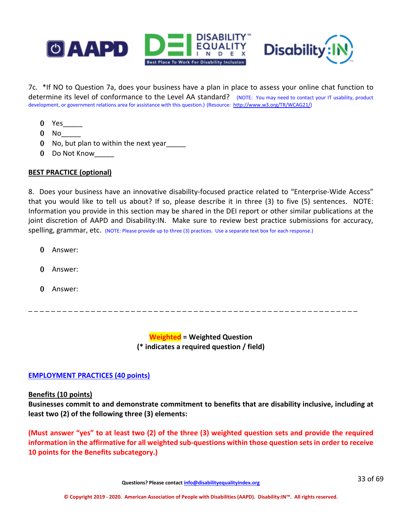

7c. \*If NO to Question 7a, does your business have a plan in place to assess your online chat function to determine its level of conformance to the Level AA standard? (NOTE: You may need to contact your IT usability, product development, or government relations area for assistance with this question.) (Resource: [http://www.w3.org/TR/WCAG21/\)](http://www.w3.org/TR/WCAG21/)

- $0$  Yes
- $0$  No  $-$
- 0 No, but plan to within the next year\_\_\_\_\_
- 0 Do Not Know\_\_\_\_\_

### **BEST PRACTICE (optional)**

8. Does your business have an innovative disability-focused practice related to "Enterprise-Wide Access" that you would like to tell us about? If so, please describe it in three (3) to five (5) sentences. NOTE: Information you provide in this section may be shared in the DEI report or other similar publications at the joint discretion of AAPD and Disability:IN. Make sure to review best practice submissions for accuracy, spelling, grammar, etc. (NOTE: Please provide up to three (3) practices. Use a separate text box for each response.)

- 0 Answer:
- 0 Answer:
- 0 Answer:

\_ \_ \_ \_ \_ \_ \_ \_ \_ \_ \_ \_ \_ \_ \_ \_ \_ \_ \_ \_ \_ \_ \_ \_ \_ \_ \_ \_ \_ \_ \_ \_ \_ \_ \_ \_ \_ \_ \_ \_ \_ \_ \_ \_ \_ \_ \_ \_ \_ \_ \_ \_ \_ \_ \_ \_ \_ \_

**Weighted = Weighted Question (\* indicates a required question / field)**

### **EMPLOYMENT PRACTICES (40 points)**

### **Benefits (10 points)**

**Businesses commit to and demonstrate commitment to benefits that are disability inclusive, including at least two (2) of the following three (3) elements:**

**(Must answer "yes" to at least two (2) of the three (3) weighted question sets and provide the required information in the affirmative for all weighted sub-questions within those question sets in order to receive 10 points for the Benefits subcategory.)**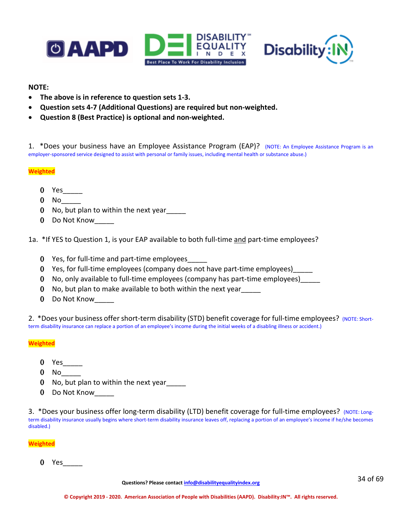



### **NOTE:**

- **The above is in reference to question sets 1-3.**
- **Question sets 4-7 (Additional Questions) are required but non-weighted.**
- **Question 8 (Best Practice) is optional and non-weighted.**

1. \*Does your business have an Employee Assistance Program (EAP)? (NOTE: An Employee Assistance Program is an employer-sponsored service designed to assist with personal or family issues, including mental health or substance abuse.)

### **Weighted**

- $0$  Yes
- $0$  No  $-$
- 0 No, but plan to within the next year
- 0 Do Not Know

1a. \*If YES to Question 1, is your EAP available to both full-time and part-time employees?

- 0 Yes, for full-time and part-time employees\_\_\_\_\_
- 0 Yes, for full-time employees (company does not have part-time employees)\_\_\_\_\_
- 0 No, only available to full-time employees (company has part-time employees)\_\_\_\_\_
- 0 No, but plan to make available to both within the next year
- 0 Do Not Know

2. \*Does your business offer short-term disability (STD) benefit coverage for full-time employees? (NOTE: Shortterm disability insurance can replace a portion of an employee's income during the initial weeks of a disabling illness or accident.)

### **Weighted**

- 0 Yes\_\_\_\_\_
- $0$  No
- 0 No, but plan to within the next year\_\_\_\_\_
- 0 Do Not Know

3. \*Does your business offer long-term disability (LTD) benefit coverage for full-time employees? (NOTE: Longterm disability insurance usually begins where short-term disability insurance leaves off, replacing a portion of an employee's income if he/she becomes disabled.)

**Weighted**

0 Yes\_\_\_\_\_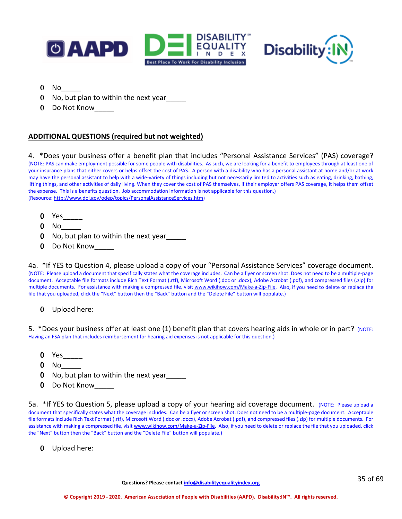



- $0$  No
- 0 No, but plan to within the next year
- 0 Do Not Know

# **ADDITIONAL QUESTIONS (required but not weighted)**

4. \*Does your business offer a benefit plan that includes "Personal Assistance Services" (PAS) coverage? (NOTE: PAS can make employment possible for some people with disabilities. As such, we are looking for a benefit to employees through at least one of your insurance plans that either covers or helps offset the cost of PAS. A person with a disability who has a personal assistant at home and/or at work may have the personal assistant to help with a wide-variety of things including but not necessarily limited to activities such as eating, drinking, bathing, lifting things, and other activities of daily living. When they cover the cost of PAS themselves, if their employer offers PAS coverage, it helps them offset the expense. This is a benefits question. Job accommodation information is not applicable for this question.) (Resource[: http://www.dol.gov/odep/topics/PersonalAssistanceServices.htm\)](http://www.dol.gov/odep/topics/PersonalAssistanceServices.htm)

- 0 Yes\_\_\_\_\_
- $0$  No  $-$
- 0 No, but plan to within the next year
- 0 Do Not Know\_\_\_\_\_

4a. \*If YES to Question 4, please upload a copy of your "Personal Assistance Services" coverage document. (NOTE: Please upload a document that specifically states what the coverage includes. Can be a flyer or screen shot. Does not need to be a multiple-page document. Acceptable file formats include Rich Text Format (.rtf), Microsoft Word (.doc or .docx), Adobe Acrobat (.pdf), and compressed files (.zip) for multiple documents. For assistance with making a compressed file, visi[t www.wikihow.com/Make-a-Zip-File.](http://www.wikihow.com/Make-a-Zip-File) Also, if you need to delete or replace the file that you uploaded, click the "Next" button then the "Back" button and the "Delete File" button will populate.)

0 Upload here:

5. \*Does your business offer at least one (1) benefit plan that covers hearing aids in whole or in part? (NOTE: Having an FSA plan that includes reimbursement for hearing aid expenses is not applicable for this question.)

- 0 Yes\_\_\_\_\_
- $0$  No
- 0 No, but plan to within the next year
- 0 Do Not Know

5a. \*If YES to Question 5, please upload a copy of your hearing aid coverage document. (NOTE: Please upload a document that specifically states what the coverage includes. Can be a flyer or screen shot. Does not need to be a multiple-page document. Acceptable file formats include Rich Text Format (.rtf), Microsoft Word (.doc or .docx), Adobe Acrobat (.pdf), and compressed files (.zip) for multiple documents. For assistance with making a compressed file, visi[t www.wikihow.com/Make-a-Zip-File.](http://www.wikihow.com/Make-a-Zip-File) Also, if you need to delete or replace the file that you uploaded, click the "Next" button then the "Back" button and the "Delete File" button will populate.)

0 Upload here: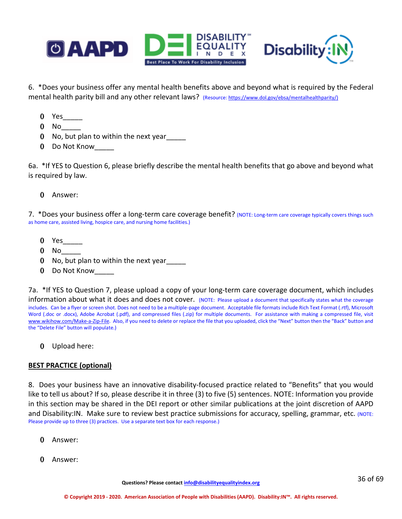

6. \*Does your business offer any mental health benefits above and beyond what is required by the Federal mental health parity bill and any other relevant laws? (Resource: https://www.dol.gov/ebsa/mentalhealthparity/)

- 0 Yes\_\_\_\_\_
- $0$  No
- 0 No, but plan to within the next year
- 0 Do Not Know\_\_\_\_\_

6a. \*If YES to Question 6, please briefly describe the mental health benefits that go above and beyond what is required by law.

0 Answer:

7. \*Does your business offer a long-term care coverage benefit? (NOTE: Long-term care coverage typically covers things such as home care, assisted living, hospice care, and nursing home facilities.)

- 0 Yes
- $0$  No
- 0 No, but plan to within the next year
- 0 Do Not Know\_\_\_\_\_

7a. \*If YES to Question 7, please upload a copy of your long-term care coverage document, which includes information about what it does and does not cover. (NOTE: Please upload a document that specifically states what the coverage includes. Can be a flyer or screen shot. Does not need to be a multiple-page document. Acceptable file formats include Rich Text Format (.rtf), Microsoft Word (.doc or .docx), Adobe Acrobat (.pdf), and compressed files (.zip) for multiple documents. For assistance with making a compressed file, visit [www.wikihow.com/Make-a-Zip-File.](http://www.wikihow.com/Make-a-Zip-File) Also, if you need to delete or replace the file that you uploaded, click the "Next" button then the "Back" button and the "Delete File" button will populate.)

0 Upload here:

# **BEST PRACTICE (optional)**

8. Does your business have an innovative disability-focused practice related to "Benefits" that you would like to tell us about? If so, please describe it in three (3) to five (5) sentences. NOTE: Information you provide in this section may be shared in the DEI report or other similar publications at the joint discretion of AAPD and Disability:IN. Make sure to review best practice submissions for accuracy, spelling, grammar, etc. (NOTE: Please provide up to three (3) practices. Use a separate text box for each response.)

- 0 Answer:
- 0 Answer: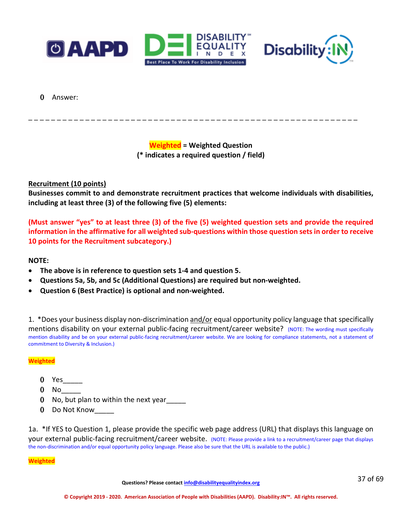



0 Answer:

**Weighted = Weighted Question (\* indicates a required question / field)**

\_ \_ \_ \_ \_ \_ \_ \_ \_ \_ \_ \_ \_ \_ \_ \_ \_ \_ \_ \_ \_ \_ \_ \_ \_ \_ \_ \_ \_ \_ \_ \_ \_ \_ \_ \_ \_ \_ \_ \_ \_ \_ \_ \_ \_ \_ \_ \_ \_ \_ \_ \_ \_ \_ \_ \_ \_ \_

# **Recruitment (10 points)**

**Businesses commit to and demonstrate recruitment practices that welcome individuals with disabilities, including at least three (3) of the following five (5) elements:**

**(Must answer "yes" to at least three (3) of the five (5) weighted question sets and provide the required information in the affirmative for all weighted sub-questions within those question sets in order to receive 10 points for the Recruitment subcategory.)**

### **NOTE:**

- **The above is in reference to question sets 1-4 and question 5.**
- **Questions 5a, 5b, and 5c (Additional Questions) are required but non-weighted.**
- **Question 6 (Best Practice) is optional and non-weighted.**

1. \*Does your business display non-discrimination and/or equal opportunity policy language that specifically mentions disability on your external public-facing recruitment/career website? (NOTE: The wording must specifically mention disability and be on your external public-facing recruitment/career website. We are looking for compliance statements, not a statement of commitment to Diversity & Inclusion.)

#### **Weighted**

- 0 Yes
- $0$  No
- 0 No, but plan to within the next year
- 0 Do Not Know\_\_\_\_\_

1a. \*If YES to Question 1, please provide the specific web page address (URL) that displays this language on your external public-facing recruitment/career website. (NOTE: Please provide a link to a recruitment/career page that displays the non-discrimination and/or equal opportunity policy language. Please also be sure that the URL is available to the public.)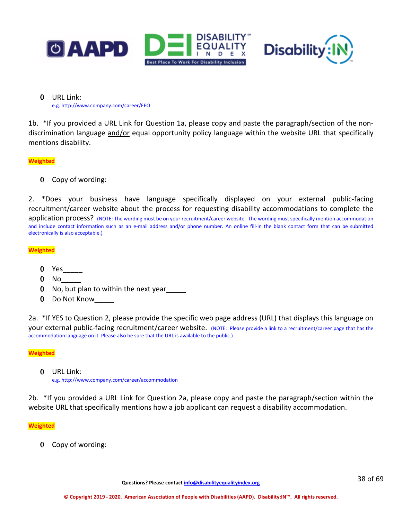



0 URL Link: e.g. http://www.company.com/career/EEO

1b. \*If you provided a URL Link for Question 1a, please copy and paste the paragraph/section of the nondiscrimination language and/or equal opportunity policy language within the website URL that specifically mentions disability.

### **Weighted**

0 Copy of wording:

2. \*Does your business have language specifically displayed on your external public-facing recruitment/career website about the process for requesting disability accommodations to complete the application process? (NOTE: The wording must be on your recruitment/career website. The wording must specifically mention accommodation and include contact information such as an e-mail address and/or phone number. An online fill-in the blank contact form that can be submitted electronically is also acceptable.)

### **Weighted**

- 0 Yes\_\_\_\_\_
- $0$  No
- 0 No, but plan to within the next year\_\_\_\_\_
- 0 Do Not Know

2a. \*If YES to Question 2, please provide the specific web page address (URL) that displays this language on your external public-facing recruitment/career website. (NOTE: Please provide a link to a recruitment/career page that has the accommodation language on it. Please also be sure that the URL is available to the public.)

#### **Weighted**

0 URL Link:

e.g. http://www.company.com/career/accommodation

2b. \*If you provided a URL Link for Question 2a, please copy and paste the paragraph/section within the website URL that specifically mentions how a job applicant can request a disability accommodation.

#### **Weighted**

0 Copy of wording: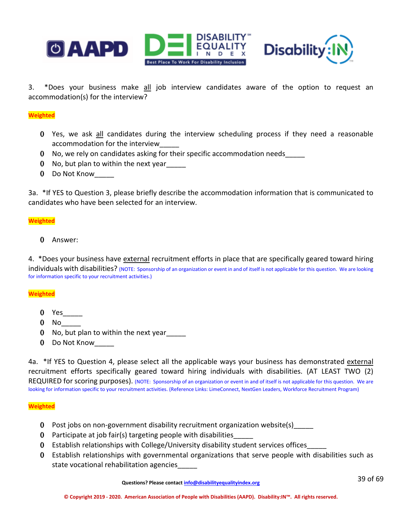

3. \*Does your business make all job interview candidates aware of the option to request an accommodation(s) for the interview?

#### **Weighted**

- 0 Yes, we ask all candidates during the interview scheduling process if they need a reasonable accommodation for the interview\_\_\_\_\_
- 0 No, we rely on candidates asking for their specific accommodation needs\_\_\_\_\_
- 0 No, but plan to within the next year
- 0 Do Not Know

3a. \*If YES to Question 3, please briefly describe the accommodation information that is communicated to candidates who have been selected for an interview.

#### **Weighted**

0 Answer:

4. \*Does your business have external recruitment efforts in place that are specifically geared toward hiring individuals with disabilities? (NOTE: Sponsorship of an organization or event in and of itself is not applicable for this question. We are looking for information specific to your recruitment activities.)

#### **Weighted**

- 0 Yes\_\_\_\_\_
- $0$  No  $-$
- 0 No, but plan to within the next year
- 0 Do Not Know

4a. \*If YES to Question 4, please select all the applicable ways your business has demonstrated external recruitment efforts specifically geared toward hiring individuals with disabilities. (AT LEAST TWO (2) REQUIRED for scoring purposes). (NOTE: Sponsorship of an organization or event in and of itself is not applicable for this question. We are looking for information specific to your recruitment activities. (Reference Links: [LimeConnect,](https://www.limeconnect.com/) [NextGen Leaders,](https://disabilityin.org/what-we-do/nextgen-leaders/) [Workforce Recruitment Program\)](https://wrp.gov/)

#### **Weighted**

- 0 Post jobs on non-government disability recruitment organization website(s)\_\_\_\_\_
- 0 Participate at job fair(s) targeting people with disabilities\_\_\_\_\_
- 0 Establish relationships with College/University disability student services offices\_\_\_\_\_
- 0 Establish relationships with governmental organizations that serve people with disabilities such as state vocational rehabilitation agencies

**Questions? Please contact [info@disabilityequalityindex.org](mailto:info@disabilityequalityindex.org)**

39 of 69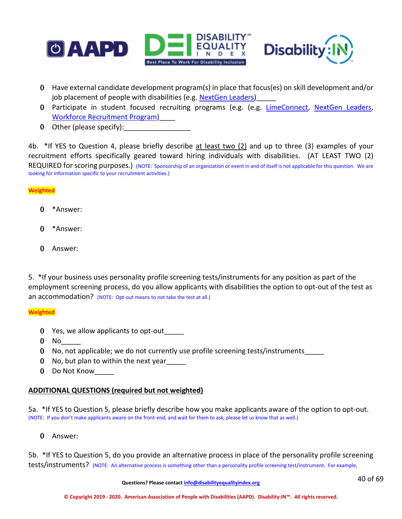



- 0 Have external candidate development program(s) in place that focus(es) on skill development and/or job placement of people with disabilities (e.g. [NextGen Leaders\)](https://disabilityin.org/what-we-do/nextgen-leaders/)
- 0 Participate in student focused recruiting programs (e.g. (e.g. [LimeConnect,](https://www.limeconnect.com/) [NextGen Leaders,](https://disabilityin.org/what-we-do/nextgen-leaders/) [Workforce Recruitment Program\)](https://wrp.gov/)\_\_\_\_
- 0 Other (please specify):

4b. \*If YES to Question 4, please briefly describe at least two (2) and up to three (3) examples of your recruitment efforts specifically geared toward hiring individuals with disabilities. (AT LEAST TWO (2) REQUIRED for scoring purposes.) (NOTE: Sponsorship of an organization or event in and of itself is not applicable for this question. We are looking for information specific to your recruitment activities.)

**Weighted**

- 0 \*Answer:
- 0 \*Answer:
- 0 Answer:

5. \*If your business uses personality profile screening tests/instruments for any position as part of the employment screening process, do you allow applicants with disabilities the option to opt-out of the test as an accommodation? (NOTE: Opt-out means to not take the test at all.)

### **Weighted**

- 0 Yes, we allow applicants to opt-out
- $0$  No
- 0 No, not applicable; we do not currently use profile screening tests/instruments\_\_\_\_\_
- 0 No, but plan to within the next year\_\_\_\_\_
- 0 Do Not Know

# **ADDITIONAL QUESTIONS (required but not weighted)**

5a. \*If YES to Question 5, please briefly describe how you make applicants aware of the option to opt-out. (NOTE: If you don't make applicants aware on the front-end, and wait for them to ask, please let us know that as well.)

0 Answer:

5b. \*If YES to Question 5, do you provide an alternative process in place of the personality profile screening tests/instruments? (NOTE: An alternative process is something other than a personality profile screening test/instrument. For example,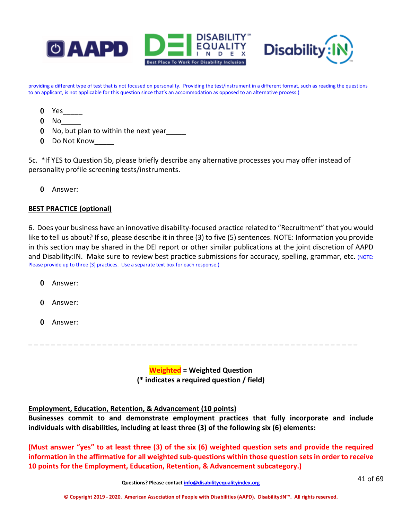



providing a different type of test that is not focused on personality. Providing the test/instrument in a different format, such as reading the questions to an applicant, is not applicable for this question since that's an accommodation as opposed to an alternative process.)

- 0 Yes\_\_\_\_\_
- $0$  No  $\_\_$
- 0 No, but plan to within the next year
- 0 Do Not Know

5c. \*If YES to Question 5b, please briefly describe any alternative processes you may offer instead of personality profile screening tests/instruments.

0 Answer:

# **BEST PRACTICE (optional)**

6. Does your business have an innovative disability-focused practice related to "Recruitment" that you would like to tell us about? If so, please describe it in three (3) to five (5) sentences. NOTE: Information you provide in this section may be shared in the DEI report or other similar publications at the joint discretion of AAPD and Disability:IN. Make sure to review best practice submissions for accuracy, spelling, grammar, etc. (NOTE: Please provide up to three (3) practices. Use a separate text box for each response.)

- 0 Answer:
- 0 Answer:
- 0 Answer:

\_ \_ \_ \_ \_ \_ \_ \_ \_ \_ \_ \_ \_ \_ \_ \_ \_ \_ \_ \_ \_ \_ \_ \_ \_ \_ \_ \_ \_ \_ \_ \_ \_ \_ \_ \_ \_ \_ \_ \_ \_ \_ \_ \_ \_ \_ \_ \_ \_ \_ \_ \_ \_ \_ \_ \_ \_ \_

**Weighted = Weighted Question (\* indicates a required question / field)**

### **Employment, Education, Retention, & Advancement (10 points)**

**Businesses commit to and demonstrate employment practices that fully incorporate and include individuals with disabilities, including at least three (3) of the following six (6) elements:**

**(Must answer "yes" to at least three (3) of the six (6) weighted question sets and provide the required information in the affirmative for all weighted sub-questions within those question sets in order to receive 10 points for the Employment, Education, Retention, & Advancement subcategory.)**

**Questions? Please contact [info@disabilityequalityindex.org](mailto:info@disabilityequalityindex.org)**

41 of 69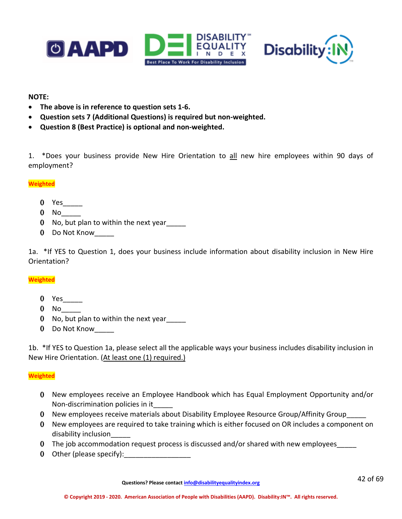



### **NOTE:**

- **The above is in reference to question sets 1-6.**
- **Question sets 7 (Additional Questions) is required but non-weighted.**
- **Question 8 (Best Practice) is optional and non-weighted.**

1. \*Does your business provide New Hire Orientation to all new hire employees within 90 days of employment?

### **Weighted**

- 0 Yes<sup>1</sup>
- $0$  No
- 0 No, but plan to within the next year\_\_\_\_\_
- 0 Do Not Know\_\_\_\_\_

1a. \*If YES to Question 1, does your business include information about disability inclusion in New Hire Orientation?

# **Weighted**

- 0 Yes\_\_\_\_\_
- $0$  No
- 0 No, but plan to within the next year
- 0 Do Not Know

1b. \*If YES to Question 1a, please select all the applicable ways your business includes disability inclusion in New Hire Orientation. (At least one (1) required.)

### **Weighted**

- 0 New employees receive an Employee Handbook which has Equal Employment Opportunity and/or Non-discrimination policies in it\_\_\_\_\_
- 0 New employees receive materials about Disability Employee Resource Group/Affinity Group
- 0 New employees are required to take training which is either focused on OR includes a component on disability inclusion\_\_\_\_\_
- 0 The job accommodation request process is discussed and/or shared with new employees
- 0 Other (please specify):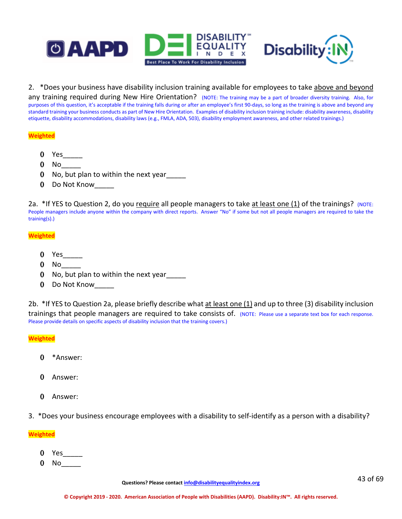



2. \*Does your business have disability inclusion training available for employees to take above and beyond

any training required during New Hire Orientation? (NOTE: The training may be a part of broader diversity training. Also, for purposes of this question, it's acceptable if the training falls during or after an employee's first 90-days, so long as the training is above and beyond any standard training your business conducts as part of New Hire Orientation. Examples of disability inclusion training include: disability awareness, disability etiquette, disability accommodations, disability laws (e.g., FMLA, ADA, 503), disability employment awareness, and other related trainings.)

#### **Weighted**

- 0 Yes  $\qquad$
- $0$  No
- 0 No, but plan to within the next year\_\_\_\_\_
- 0 Do Not Know\_\_\_\_\_

2a. \*If YES to Question 2, do you require all people managers to take at least one  $(1)$  of the trainings? (NOTE: People managers include anyone within the company with direct reports. Answer "No" if some but not all people managers are required to take the training(s).)

#### **Weighted**

- 0 Yes\_\_\_\_\_
- $0$  No  $-$
- 0 No, but plan to within the next year\_\_\_\_\_
- 0 Do Not Know

2b. \*If YES to Question 2a, please briefly describe what at least one (1) and up to three (3) disability inclusion trainings that people managers are required to take consists of. (NOTE: Please use a separate text box for each response. Please provide details on specific aspects of disability inclusion that the training covers.)

**Weighted**

- 0 \*Answer:
- 0 Answer:
- 0 Answer:
- 3. \*Does your business encourage employees with a disability to self-identify as a person with a disability?

- $0$  Yes
- $0$  No  $-$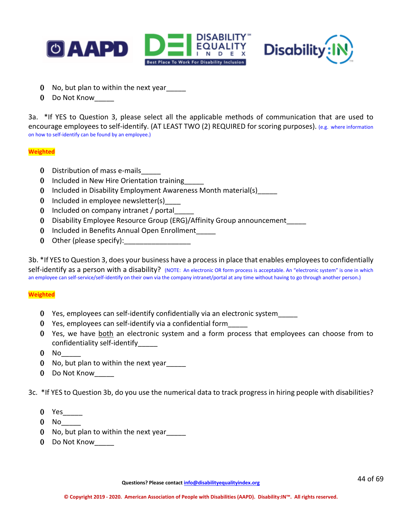



- 0 No, but plan to within the next year
- 0 Do Not Know

3a. \*If YES to Question 3, please select all the applicable methods of communication that are used to encourage employees to self-identify. (AT LEAST TWO (2) REQUIRED for scoring purposes). (e.g. where information on how to self-identify can be found by an employee.)

### **Weighted**

- 0 Distribution of mass e-mails\_\_\_\_\_
- 0 Included in New Hire Orientation training
- 0 Included in Disability Employment Awareness Month material(s)
- 0 Included in employee newsletter(s)
- 0 Included on company intranet / portal\_\_\_\_\_
- 0 Disability Employee Resource Group (ERG)/Affinity Group announcement\_\_\_\_\_
- 0 Included in Benefits Annual Open Enrollment\_\_\_\_\_
- 0 Other (please specify): 0

3b. \*If YES to Question 3, does your business have a process in place that enables employees to confidentially self-identify as a person with a disability? (NOTE: An electronic OR form process is acceptable. An "electronic system" is one in which an employee can self-service/self-identify on their own via the company intranet/portal at any time without having to go through another person.)

### **Weighted**

- 0 Yes, employees can self-identify confidentially via an electronic system\_\_\_\_\_
- 0 Yes, employees can self-identify via a confidential form\_\_\_\_\_
- 0 Yes, we have both an electronic system and a form process that employees can choose from to confidentiality self-identify\_\_\_\_\_
- $0$  No
- 0 No, but plan to within the next year\_\_\_\_\_
- 0 Do Not Know

3c. \*If YES to Question 3b, do you use the numerical data to track progress in hiring people with disabilities?

- 0 Yes\_\_\_\_\_
- $0$  No $\_$
- 0 No, but plan to within the next year\_\_\_\_\_
- 0 Do Not Know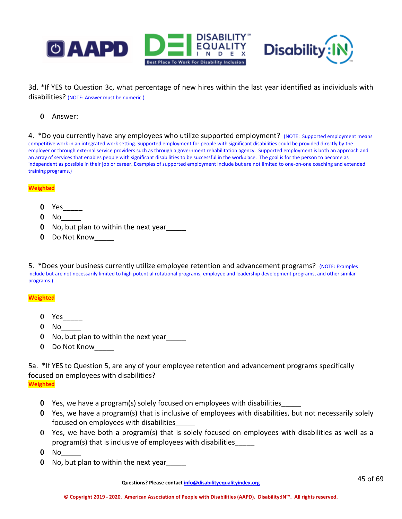

3d. \*If YES to Question 3c, what percentage of new hires within the last year identified as individuals with disabilities? (NOTE: Answer must be numeric.)

### 0 Answer:

4. \*Do you currently have any employees who utilize supported employment? (NOTE: Supported employment means competitive work in an integrated work setting. Supported employment for people with significant disabilities could be provided directly by the employer or through external service providers such as through a government rehabilitation agency. Supported employment is both an approach and an array of services that enables people with significant disabilities to be successful in the workplace. The goal is for the person to become as independent as possible in their job or career. Examples of supported employment include but are not limited to one-on-one coaching and extended training programs.)

#### **Weighted**

- 0 Yes\_\_\_\_\_
- $0$  No
- 0 No, but plan to within the next year
- 0 Do Not Know\_\_\_\_\_

5. \*Does your business currently utilize employee retention and advancement programs? (NOTE: Examples include but are not necessarily limited to high potential rotational programs, employee and leadership development programs, and other similar programs.)

### **Weighted**

- 0 Yes\_\_\_\_\_
- 0 No
- 0 No, but plan to within the next year\_\_\_\_\_
- 0 Do Not Know

5a. \*If YES to Question 5, are any of your employee retention and advancement programs specifically focused on employees with disabilities?

**Weighted**

- 0 Yes, we have a program(s) solely focused on employees with disabilities\_\_\_\_\_
- 0 Yes, we have a program(s) that is inclusive of employees with disabilities, but not necessarily solely focused on employees with disabilities\_\_\_\_\_
- 0 Yes, we have both a program(s) that is solely focused on employees with disabilities as well as a program(s) that is inclusive of employees with disabilities\_\_\_\_\_
- $0$  No
- 0 No, but plan to within the next year

**Questions? Please contact [info@disabilityequalityindex.org](mailto:info@disabilityequalityindex.org)**

45 of 69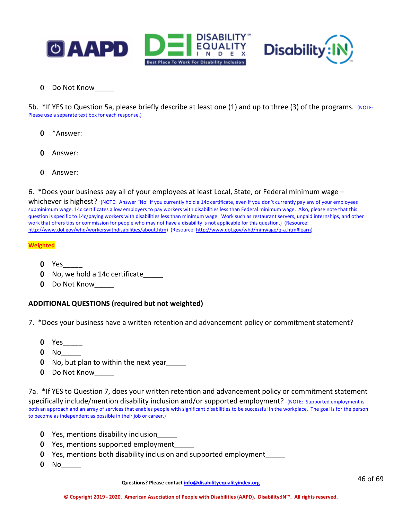



0 Do Not Know\_\_\_\_\_

5b. \*If YES to Question 5a, please briefly describe at least one  $(1)$  and up to three  $(3)$  of the programs. (NOTE: Please use a separate text box for each response.)

- 0 \*Answer:
- 0 Answer:
- 0 Answer:
- 6. \*Does your business pay all of your employees at least Local, State, or Federal minimum wage –

whichever is highest? (NOTE: Answer "No" if you currently hold a 14c certificate, even if you don't currently pay any of your employees subminimum wage. 14c certificates allow employers to pay workers with disabilities less than Federal minimum wage. Also, please note that this question is specific to 14c/paying workers with disabilities less than minimum wage. Work such as restaurant servers, unpaid internships, and other work that offers tips or commission for people who may not have a disability is not applicable for this question.) (Resource: [http://www.dol.gov/whd/workerswithdisabilities/about.htm\)](http://www.dol.gov/whd/workerswithdisabilities/about.htm) (Resource[: http://www.dol.gov/whd/minwage/q-a.htm#learn\)](http://www.dol.gov/whd/minwage/q-a.htm#learn)

#### **Weighted**

- $0$  Yes
- 0 No, we hold a 14c certificate
- 0 Do Not Know

### **ADDITIONAL QUESTIONS (required but not weighted)**

- 7. \*Does your business have a written retention and advancement policy or commitment statement?
	- 0 Yes\_\_\_\_\_
	- 0 No\_\_\_\_\_
	- 0 No, but plan to within the next year
	- 0 Do Not Know

7a. \*If YES to Question 7, does your written retention and advancement policy or commitment statement specifically include/mention disability inclusion and/or supported employment? (NOTE: Supported employment is both an approach and an array of services that enables people with significant disabilities to be successful in the workplace. The goal is for the person to become as independent as possible in their job or career.)

- 0 Yes, mentions disability inclusion
- 0 Yes, mentions supported employment\_\_\_\_\_
- 0 Yes, mentions both disability inclusion and supported employment\_\_\_\_\_
- 0 No<sub>\_\_</sub>\_\_\_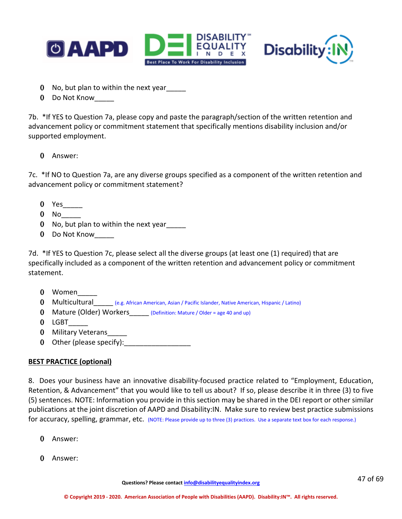



- 0 No, but plan to within the next year
- 0 Do Not Know

7b. \*If YES to Question 7a, please copy and paste the paragraph/section of the written retention and advancement policy or commitment statement that specifically mentions disability inclusion and/or supported employment.

# 0 Answer:

7c. \*If NO to Question 7a, are any diverse groups specified as a component of the written retention and advancement policy or commitment statement?

- $0$  Yes $\_\_$
- $0$  No
- 0 No, but plan to within the next year
- 0 Do Not Know

7d. \*If YES to Question 7c, please select all the diverse groups (at least one (1) required) that are specifically included as a component of the written retention and advancement policy or commitment statement.

- 0 Women
- 0 Multicultural (e.g. African American, Asian / Pacific Islander, Native American, Hispanic / Latino)
- 0 Mature (Older) Workers (Definition: Mature / Older = age 40 and up)
- 0 LGBT\_\_\_\_\_
- 0 Military Veterans
- 0 Other (please specify):

# **BEST PRACTICE (optional)**

8. Does your business have an innovative disability-focused practice related to "Employment, Education, Retention, & Advancement" that you would like to tell us about? If so, please describe it in three (3) to five (5) sentences. NOTE: Information you provide in this section may be shared in the DEI report or other similar publications at the joint discretion of AAPD and Disability:IN. Make sure to review best practice submissions for accuracy, spelling, grammar, etc. (NOTE: Please provide up to three (3) practices. Use a separate text box for each response.)

- 0 Answer:
- 0 Answer: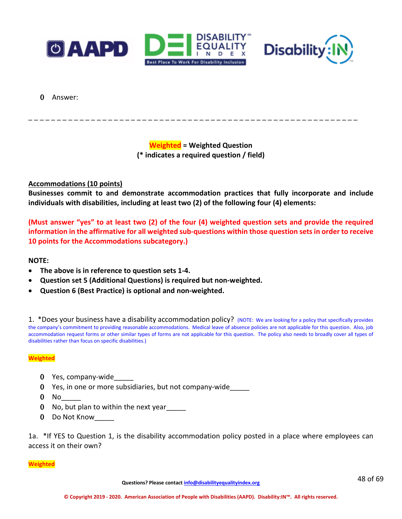



0 Answer:

**Weighted = Weighted Question (\* indicates a required question / field)**

\_ \_ \_ \_ \_ \_ \_ \_ \_ \_ \_ \_ \_ \_ \_ \_ \_ \_ \_ \_ \_ \_ \_ \_ \_ \_ \_ \_ \_ \_ \_ \_ \_ \_ \_ \_ \_ \_ \_ \_ \_ \_ \_ \_ \_ \_ \_ \_ \_ \_ \_ \_ \_ \_ \_ \_ \_ \_

# **Accommodations (10 points)**

**Businesses commit to and demonstrate accommodation practices that fully incorporate and include individuals with disabilities, including at least two (2) of the following four (4) elements:**

**(Must answer "yes" to at least two (2) of the four (4) weighted question sets and provide the required information in the affirmative for all weighted sub-questions within those question sets in order to receive 10 points for the Accommodations subcategory.)**

### **NOTE:**

- **The above is in reference to question sets 1-4.**
- **Question set 5 (Additional Questions) is required but non-weighted.**
- **Question 6 (Best Practice) is optional and non-weighted.**

1. \*Does your business have a disability accommodation policy? (NOTE: We are looking for a policy that specifically provides the company's commitment to providing reasonable accommodations. Medical leave of absence policies are not applicable for this question. Also, job accommodation request forms or other similar types of forms are not applicable for this question. The policy also needs to broadly cover all types of disabilities rather than focus on specific disabilities.)

#### **Weighted**

- 0 Yes, company-wide
- 0 Yes, in one or more subsidiaries, but not company-wide\_\_\_\_\_
- $0$  No
- 0 No, but plan to within the next year
- 0 Do Not Know

1a. \*If YES to Question 1, is the disability accommodation policy posted in a place where employees can access it on their own?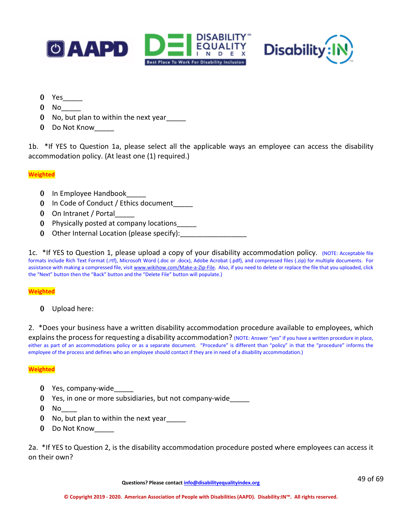



- 0 Yes\_\_\_\_\_
- $0$  No
- 0 No, but plan to within the next year
- 0 Do Not Know\_\_\_\_\_

1b. \*If YES to Question 1a, please select all the applicable ways an employee can access the disability accommodation policy. (At least one (1) required.)

### **Weighted**

- 0 In Employee Handbook\_\_\_\_\_\_
- 0 In Code of Conduct / Ethics document
- 0 On Intranet / Portal
- 0 Physically posted at company locations\_\_\_\_\_
- 0 Other Internal Location (please specify):

1c. \*If YES to Question 1, please upload a copy of your disability accommodation policy. (NOTE: Acceptable file formats include Rich Text Format (.rtf), Microsoft Word (.doc or .docx), Adobe Acrobat (.pdf), and compressed files (.zip) for multiple documents. For assistance with making a compressed file, visi[t www.wikihow.com/Make-a-Zip-File.](http://www.wikihow.com/Make-a-Zip-File) Also, if you need to delete or replace the file that you uploaded, click the "Next" button then the "Back" button and the "Delete File" button will populate.)

### **Weighted**

0 Upload here:

2. \*Does your business have a written disability accommodation procedure available to employees, which explains the process for requesting a disability accommodation? (NOTE: Answer "yes" if you have a written procedure in place, either as part of an accommodations policy or as a separate document. "Procedure" is different than "policy" in that the "procedure" informs the

### **Weighted**

- 0 Yes, company-wide
- 0 Yes, in one or more subsidiaries, but not company-wide\_\_\_\_\_

employee of the process and defines who an employee should contact if they are in need of a disability accommodation.)

- $0$  No
- 0 No, but plan to within the next year
- 0 Do Not Know

2a. \*If YES to Question 2, is the disability accommodation procedure posted where employees can access it on their own?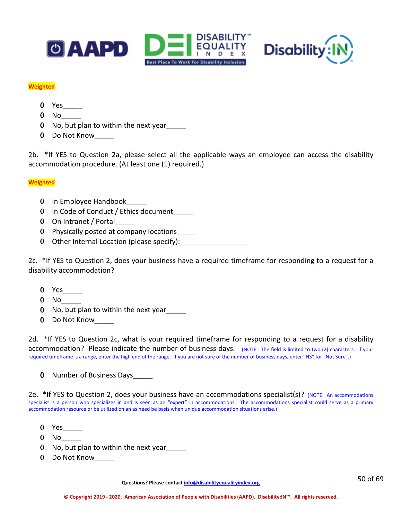



### **Weighted**

- 0 Yes
- $0$  No  $-$
- 0 No, but plan to within the next year\_\_\_\_\_
- 0 Do Not Know

2b. \*If YES to Question 2a, please select all the applicable ways an employee can access the disability accommodation procedure. (At least one (1) required.)

### **Weighted**

- 0 In Employee Handbook
- 0 In Code of Conduct / Ethics document\_\_\_\_\_
- 0 On Intranet / Portal
- 0 Physically posted at company locations\_\_\_\_\_
- 0 Other Internal Location (please specify):

2c. \*If YES to Question 2, does your business have a required timeframe for responding to a request for a disability accommodation?

- $0$  Yes
- $0$  No  $-$
- 0 No, but plan to within the next year
- 0 Do Not Know

2d. \*If YES to Question 2c, what is your required timeframe for responding to a request for a disability accommodation? Please indicate the number of business days. (NOTE: The field is limited to two (2) characters. If your required timeframe is a range, enter the high end of the range. If you are not sure of the number of business days, enter "NS" for "Not Sure".)

0 Number of Business Days

2e. \*If YES to Question 2, does your business have an accommodations specialist(s)? (NOTE: An accommodations specialist is a person who specializes in and is seen as an "expert" in accommodations. The accommodations specialist could serve as a primary accommodation resource or be utilized on an as need be basis when unique accommodation situations arise.)

- 0 Yes\_\_\_\_\_
- $0$  No
- 0 No, but plan to within the next year\_\_\_\_\_
- 0 Do Not Know

**Questions? Please contact [info@disabilityequalityindex.org](mailto:info@disabilityequalityindex.org)**

50 of 69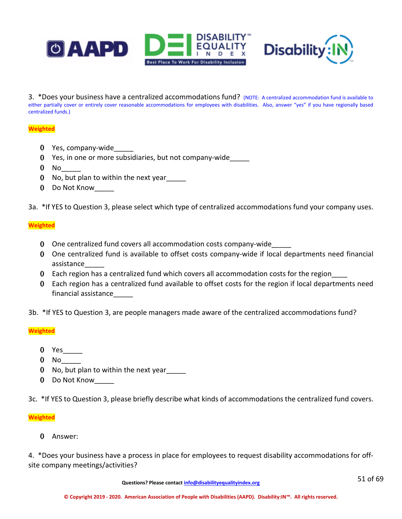



3. \*Does your business have a centralized accommodations fund? (NOTE: A centralized accommodation fund is available to either partially cover or entirely cover reasonable accommodations for employees with disabilities. Also, answer "yes" if you have regionally based centralized funds.)

### **Weighted**

- 0 Yes, company-wide
- 0 Yes, in one or more subsidiaries, but not company-wide\_\_\_\_\_
- $0$  No  $-$
- 0 No, but plan to within the next year\_\_\_\_\_
- 0 Do Not Know

3a. \*If YES to Question 3, please select which type of centralized accommodations fund your company uses.

### **Weighted**

- 0 One centralized fund covers all accommodation costs company-wide\_\_\_\_\_
- 0 One centralized fund is available to offset costs company-wide if local departments need financial assistance\_\_\_\_\_
- 0 Each region has a centralized fund which covers all accommodation costs for the region
- 0 Each region has a centralized fund available to offset costs for the region if local departments need financial assistance\_\_\_\_\_
- 3b. \*If YES to Question 3, are people managers made aware of the centralized accommodations fund?

#### **Weighted**

- 0 Yes
- $0$  No  $-$
- 0 No, but plan to within the next year
- 0 Do Not Know\_\_\_\_\_

3c. \*If YES to Question 3, please briefly describe what kinds of accommodations the centralized fund covers.

#### **Weighted**

0 Answer:

4. \*Does your business have a process in place for employees to request disability accommodations for offsite company meetings/activities?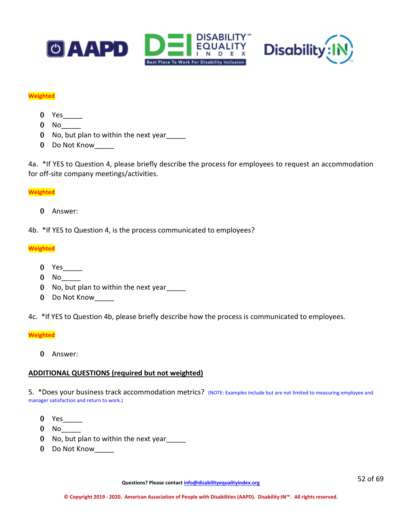



#### **Weighted**

- 0 Yes
- $0$  No $\_\_$
- 0 No, but plan to within the next year\_\_\_\_\_
- 0 Do Not Know

4a. \*If YES to Question 4, please briefly describe the process for employees to request an accommodation for off-site company meetings/activities.

### **Weighted**

0 Answer:

4b. \*If YES to Question 4, is the process communicated to employees?

### **Weighted**

- 0 Yes\_\_\_\_\_
- $0$  No
- 0 No, but plan to within the next year\_\_\_\_\_
- 0 Do Not Know

4c. \*If YES to Question 4b, please briefly describe how the process is communicated to employees.

### **Weighted**

0 Answer:

### **ADDITIONAL QUESTIONS (required but not weighted)**

5. \*Does your business track accommodation metrics? (NOTE: Examples include but are not limited to measuring employee and manager satisfaction and return to work.)

- 0 Yes\_\_\_\_\_
- $0$  No
- 0 No, but plan to within the next year
- 0 Do Not Know

**Questions? Please contact [info@disabilityequalityindex.org](mailto:info@disabilityequalityindex.org)**

52 of 69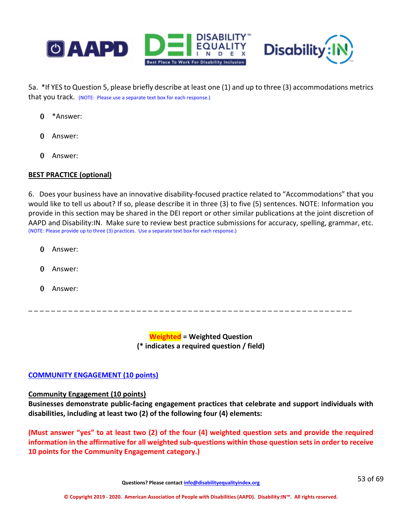

5a. \*If YES to Question 5, please briefly describe at least one (1) and up to three (3) accommodations metrics that you track. (NOTE: Please use a separate text box for each response.)

- 0 \*Answer:
- 0 Answer:
- 0 Answer:

# **BEST PRACTICE (optional)**

6. Does your business have an innovative disability-focused practice related to "Accommodations" that you would like to tell us about? If so, please describe it in three (3) to five (5) sentences. NOTE: Information you provide in this section may be shared in the DEI report or other similar publications at the joint discretion of AAPD and Disability:IN. Make sure to review best practice submissions for accuracy, spelling, grammar, etc. (NOTE: Please provide up to three (3) practices. Use a separate text box for each response.)

- 0 Answer:
- 0 Answer:
- 0 Answer:

**Weighted = Weighted Question (\* indicates a required question / field)**

\_ \_ \_ \_ \_ \_ \_ \_ \_ \_ \_ \_ \_ \_ \_ \_ \_ \_ \_ \_ \_ \_ \_ \_ \_ \_ \_ \_ \_ \_ \_ \_ \_ \_ \_ \_ \_ \_ \_ \_ \_ \_ \_ \_ \_ \_ \_ \_ \_ \_ \_ \_ \_ \_ \_ \_ \_

# **COMMUNITY ENGAGEMENT (10 points)**

# **Community Engagement (10 points)**

**Businesses demonstrate public-facing engagement practices that celebrate and support individuals with disabilities, including at least two (2) of the following four (4) elements:**

**(Must answer "yes" to at least two (2) of the four (4) weighted question sets and provide the required information in the affirmative for all weighted sub-questions within those question sets in order to receive 10 points for the Community Engagement category.)**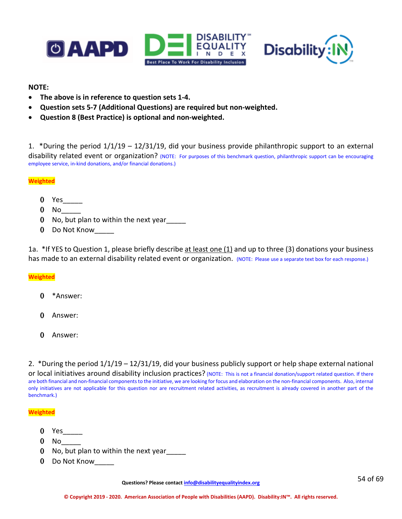



### **NOTE:**

- **The above is in reference to question sets 1-4.**
- **Question sets 5-7 (Additional Questions) are required but non-weighted.**
- **Question 8 (Best Practice) is optional and non-weighted.**

1. \*During the period 1/1/19 – 12/31/19, did your business provide philanthropic support to an external disability related event or organization? (NOTE: For purposes of this benchmark question, philanthropic support can be encouraging employee service, in-kind donations, and/or financial donations.)

### **Weighted**

- 0 Yes
- $0$  No
- 0 No, but plan to within the next year\_\_\_\_\_
- 0 Do Not Know

1a. \*If YES to Question 1, please briefly describe at least one (1) and up to three (3) donations your business has made to an external disability related event or organization. (NOTE: Please use a separate text box for each response.)

### **Weighted**

- 0 \*Answer:
- 0 Answer:
- 0 Answer:

2. \*During the period 1/1/19 – 12/31/19, did your business publicly support or help shape external national

or local initiatives around disability inclusion practices? (NOTE: This is not a financial donation/support related question. If there are both financial and non-financial components to the initiative, we are looking for focus and elaboration on the non-financial components. Also, internal only initiatives are not applicable for this question nor are recruitment related activities, as recruitment is already covered in another part of the benchmark.)

#### **Weighted**

- 0 Yes\_\_\_\_\_
- $0$  No
- 0 No, but plan to within the next year
- 0 Do Not Know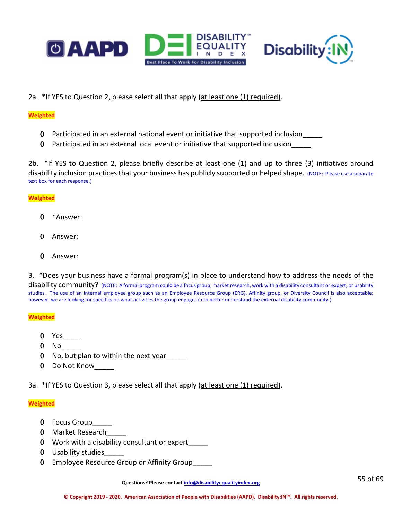



2a. \*If YES to Question 2, please select all that apply (at least one (1) required).

#### **Weighted**

- 0 Participated in an external national event or initiative that supported inclusion\_\_\_\_\_
- 0 Participated in an external local event or initiative that supported inclusion\_\_\_\_\_

2b. \*If YES to Question 2, please briefly describe at least one (1) and up to three (3) initiatives around disability inclusion practices that your business has publicly supported or helped shape. (NOTE: Please use a separate text box for each response.)

### **Weighted**

- 0 \*Answer:
- 0 Answer:
- 0 Answer:
- 3. \*Does your business have a formal program(s) in place to understand how to address the needs of the

disability community? (NOTE: A formal program could be a focus group, market research, work with a disability consultant or expert, or usability studies. The use of an internal employee group such as an Employee Resource Group (ERG), Affinity group, or Diversity Council is also acceptable; however, we are looking for specifics on what activities the group engages in to better understand the external disability community.)

#### **Weighted**

- 0 Yes
- $0$  No
- 0 No, but plan to within the next year\_\_\_\_\_
- 0 Do Not Know\_\_\_\_\_

3a. \*If YES to Question 3, please select all that apply (at least one (1) required).

### **Weighted**

- 0 Focus Group
- 0 Market Research
- 0 Work with a disability consultant or expert\_\_\_\_\_
- 0 Usability studies
- 0 Employee Resource Group or Affinity Group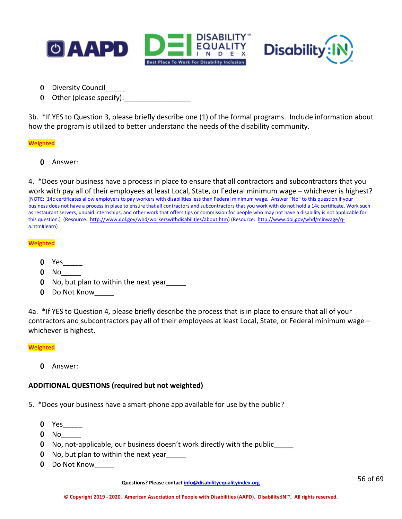



- 0 Diversity Council\_\_\_\_\_
- 0 Other (please specify):  $\frac{1}{2}$

3b. \*If YES to Question 3, please briefly describe one (1) of the formal programs. Include information about how the program is utilized to better understand the needs of the disability community.

#### **Weighted**

0 Answer:

4. \*Does your business have a process in place to ensure that all contractors and subcontractors that you

work with pay all of their employees at least Local, State, or Federal minimum wage – whichever is highest? (NOTE: 14c certificates allow employers to pay workers with disabilities less than Federal minimum wage. Answer "No" to this question if your business does not have a process in place to ensure that all contractors and subcontractors that you work with do not hold a 14c certificate. Work such as restaurant servers, unpaid internships, and other work that offers tips or commission for people who may not have a disability is not applicable for this question.) (Resource: [http://www.dol.gov/whd/workerswithdisabilities/about.htm\)](http://www.dol.gov/whd/workerswithdisabilities/about.htm) (Resource: [http://www.dol.gov/whd/minwage/q](http://www.dol.gov/whd/minwage/q-a.htm#learn)[a.htm#learn\)](http://www.dol.gov/whd/minwage/q-a.htm#learn)

#### **Weighted**

- 0 Yes<sup>1</sup>
- $0$  No
- 0 No, but plan to within the next year
- 0 Do Not Know

4a. \*If YES to Question 4, please briefly describe the process that is in place to ensure that all of your contractors and subcontractors pay all of their employees at least Local, State, or Federal minimum wage – whichever is highest.

#### **Weighted**

0 Answer:

### **ADDITIONAL QUESTIONS (required but not weighted)**

- 5. \*Does your business have a smart-phone app available for use by the public?
	- $0$  Yes
	- $0$  No
	- 0 No, not-applicable, our business doesn't work directly with the public\_\_\_\_\_
	- 0 No, but plan to within the next year
	- 0 Do Not Know\_\_\_\_\_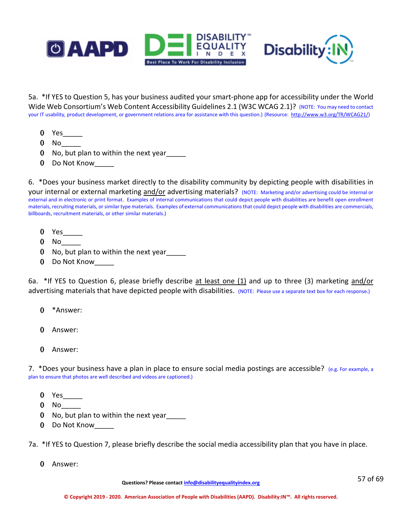



5a. \*If YES to Question 5, has your business audited your smart-phone app for accessibility under the World Wide Web Consortium's Web Content Accessibility Guidelines 2.1 (W3C WCAG 2.1)? (NOTE: You may need to contact your IT usability, product development, or government relations area for assistance with this question.) (Resource: [http://www.w3.org/TR/WCAG21/\)](http://www.w3.org/TR/WCAG21/)

- 0 Yes
- $0$  No
- 0 No, but plan to within the next year
- 0 Do Not Know\_\_\_\_\_

6. \*Does your business market directly to the disability community by depicting people with disabilities in your internal or external marketing and/or advertising materials? (NOTE: Marketing and/or advertising could be internal or external and in electronic or print format. Examples of internal communications that could depict people with disabilities are benefit open enrollment materials, recruiting materials, or similar type materials. Examples of external communications that could depict people with disabilities are commercials, billboards, recruitment materials, or other similar materials.)

- 0 Yes\_\_\_\_\_
- 0 No\_\_\_\_\_
- 0 No, but plan to within the next year\_\_\_\_\_
- 0 Do Not Know\_\_\_\_\_

6a. \*If YES to Question 6, please briefly describe at least one (1) and up to three (3) marketing and/or advertising materials that have depicted people with disabilities. (NOTE: Please use a separate text box for each response.)

- 0 \*Answer:
- 0 Answer:
- 0 Answer:

7. \*Does your business have a plan in place to ensure social media postings are accessible? (e.g. For example, a plan to ensure that photos are well described and videos are captioned.)

- 0 Yes\_\_\_\_\_
- 0 No\_\_\_\_\_
- 0 No, but plan to within the next year\_\_\_\_\_
- 0 Do Not Know

7a. \*If YES to Question 7, please briefly describe the social media accessibility plan that you have in place.

0 Answer: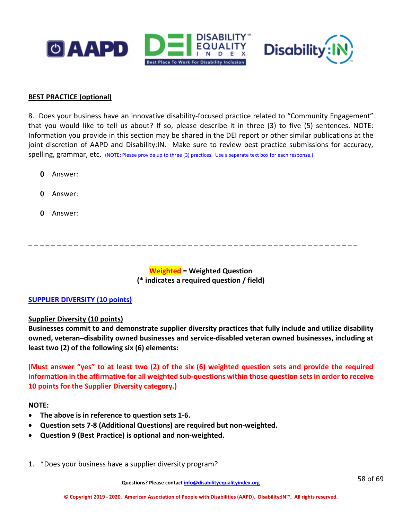



# **BEST PRACTICE (optional)**

8. Does your business have an innovative disability-focused practice related to "Community Engagement" that you would like to tell us about? If so, please describe it in three (3) to five (5) sentences. NOTE: Information you provide in this section may be shared in the DEI report or other similar publications at the joint discretion of AAPD and Disability:IN. Make sure to review best practice submissions for accuracy, spelling, grammar, etc. (NOTE: Please provide up to three (3) practices. Use a separate text box for each response.)

- 0 Answer:
- 0 Answer:
- 0 Answer:

\_ \_ \_ \_ \_ \_ \_ \_ \_ \_ \_ \_ \_ \_ \_ \_ \_ \_ \_ \_ \_ \_ \_ \_ \_ \_ \_ \_ \_ \_ \_ \_ \_ \_ \_ \_ \_ \_ \_ \_ \_ \_ \_ \_ \_ \_ \_ \_ \_ \_ \_ \_ \_ \_ \_ \_ \_ \_

**Weighted = Weighted Question (\* indicates a required question / field)**

# **SUPPLIER DIVERSITY (10 points)**

### **Supplier Diversity (10 points)**

**Businesses commit to and demonstrate supplier diversity practices that fully include and utilize disability owned, veteran–disability owned businesses and service-disabled veteran owned businesses, including at least two (2) of the following six (6) elements:**

# **(Must answer "yes" to at least two (2) of the six (6) weighted question sets and provide the required information in the affirmative for all weighted sub-questions within those question sets in order to receive 10 points for the Supplier Diversity category.)**

### **NOTE:**

- **The above is in reference to question sets 1-6.**
- **Question sets 7-8 (Additional Questions) are required but non-weighted.**
- **Question 9 (Best Practice) is optional and non-weighted.**
- 1. \*Does your business have a supplier diversity program?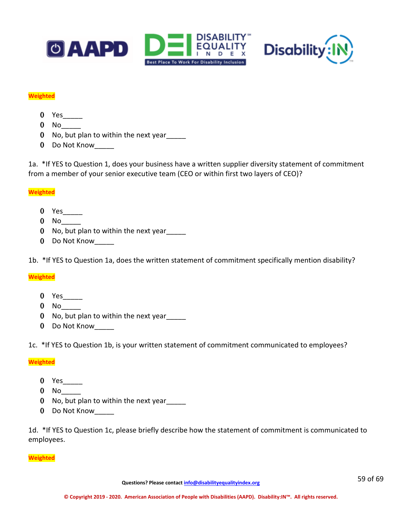



### **Weighted**

- 0 Yes
- $0$  No $\_\_$
- 0 No, but plan to within the next year\_\_\_\_\_
- 0 Do Not Know

1a. \*If YES to Question 1, does your business have a written supplier diversity statement of commitment from a member of your senior executive team (CEO or within first two layers of CEO)?

### **Weighted**

- 0 Yes
- 0 No\_\_\_\_\_
- 0 No, but plan to within the next year\_\_\_\_\_
- 0 Do Not Know

1b. \*If YES to Question 1a, does the written statement of commitment specifically mention disability?

### **Weighted**

- 0 Yes
- $0$  No
- 0 No, but plan to within the next year
- 0 Do Not Know

1c. \*If YES to Question 1b, is your written statement of commitment communicated to employees?

### **Weighted**

- 0 Yes\_\_\_\_\_\_\_
- $0$  No $\_\_$
- 0 No, but plan to within the next year
- 0 Do Not Know

1d. \*If YES to Question 1c, please briefly describe how the statement of commitment is communicated to employees.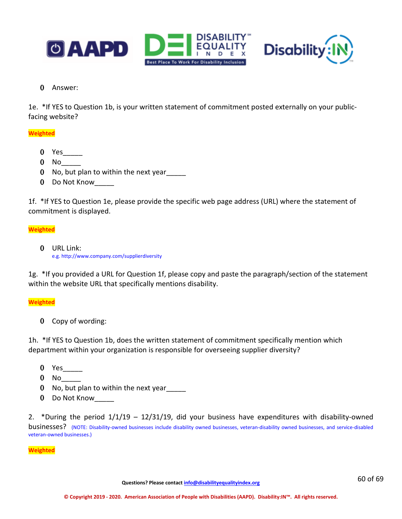



0 Answer:

1e. \*If YES to Question 1b, is your written statement of commitment posted externally on your publicfacing website?

# **Weighted**

- 0 Yes\_\_\_\_\_\_
- 0 No<sub>\_\_\_</sub>
- 0 No, but plan to within the next year\_\_\_\_\_
- 0 Do Not Know

1f. \*If YES to Question 1e, please provide the specific web page address (URL) where the statement of commitment is displayed.

### **Weighted**

0 URL Link: e.g. http://www.company.com/supplierdiversity

1g. \*If you provided a URL for Question 1f, please copy and paste the paragraph/section of the statement within the website URL that specifically mentions disability.

### **Weighted**

0 Copy of wording:

1h. \*If YES to Question 1b, does the written statement of commitment specifically mention which department within your organization is responsible for overseeing supplier diversity?

- 0 Yes\_\_\_\_\_
- 0 No<sub>\_\_</sub>\_\_\_
- 0 No, but plan to within the next year\_\_\_\_\_
- 0 Do Not Know

2. \*During the period 1/1/19 – 12/31/19, did your business have expenditures with disability-owned businesses? (NOTE: Disability-owned businesses include disability owned businesses, veteran-disability owned businesses, and service-disabled veteran-owned businesses.)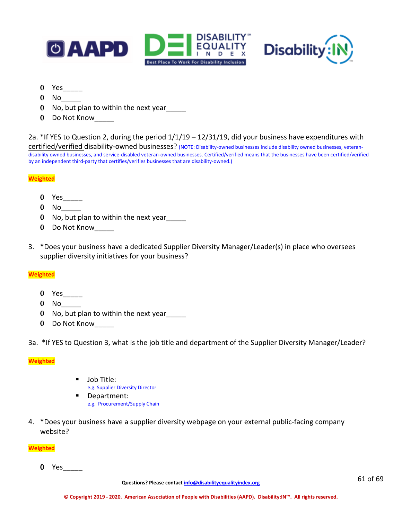



- 0 Yes\_\_\_\_\_
- $0$  No
- 0 No, but plan to within the next year
- 0 Do Not Know

2a. \*If YES to Question 2, during the period  $1/1/19 - 12/31/19$ , did your business have expenditures with certified/verified disability-owned businesses? (NOTE: Disability-owned businesses include disability owned businesses, veterandisability owned businesses, and service-disabled veteran-owned businesses. Certified/verified means that the businesses have been certified/verified by an independent third-party that certifies/verifies businesses that are disability-owned.)

#### **Weighted**

- $0$  Yes $\_\_$
- 0 No\_\_\_\_\_
- 0 No, but plan to within the next year
- 0 Do Not Know\_\_\_\_\_
- 3. \*Does your business have a dedicated Supplier Diversity Manager/Leader(s) in place who oversees supplier diversity initiatives for your business?

#### **Weighted**

- 0 Yes\_\_\_\_\_
- $0$  No
- 0 No, but plan to within the next year
- 0 Do Not Know

3a. \*If YES to Question 3, what is the job title and department of the Supplier Diversity Manager/Leader?

#### **Weighted**

- **Job Title:** 
	- e.g. Supplier Diversity Director
- Department: e.g. Procurement/Supply Chain
- 4. \*Does your business have a supplier diversity webpage on your external public-facing company website?

#### **Weighted**

0 Yes\_\_\_\_\_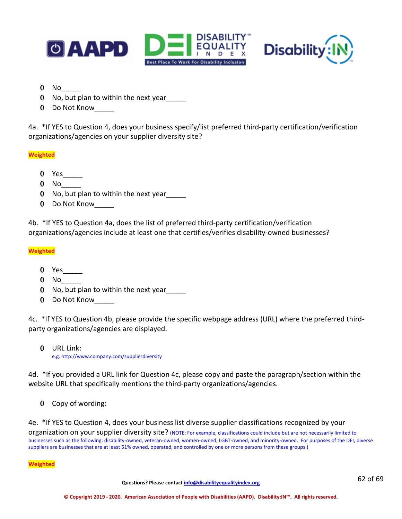



- $0$  No
- 0 No, but plan to within the next year
- 0 Do Not Know

4a. \*If YES to Question 4, does your business specify/list preferred third-party certification/verification organizations/agencies on your supplier diversity site?

### **Weighted**

- 0 Yes\_\_\_\_\_
- $0$  No
- 0 No, but plan to within the next year\_\_\_\_\_
- 0 Do Not Know\_\_\_\_\_

4b. \*If YES to Question 4a, does the list of preferred third-party certification/verification organizations/agencies include at least one that certifies/verifies disability-owned businesses?

### **Weighted**

- 0 Yes\_\_\_\_\_
- $0$  No
- 0 No, but plan to within the next year
- 0 Do Not Know\_\_\_\_\_

4c. \*If YES to Question 4b, please provide the specific webpage address (URL) where the preferred thirdparty organizations/agencies are displayed.

0 URL Link: e.g. http://www.company.com/supplierdiversity

4d. \*If you provided a URL link for Question 4c, please copy and paste the paragraph/section within the website URL that specifically mentions the third-party organizations/agencies.

0 Copy of wording:

4e. \*If YES to Question 4, does your business list diverse supplier classifications recognized by your organization on your supplier diversity site? (NOTE: For example, classifications could include but are not necessarily limited to businesses such as the following: disability-owned, veteran-owned, women-owned, LGBT-owned, and minority-owned. For purposes of the DEI, diverse suppliers are businesses that are at least 51% owned, operated, and controlled by one or more persons from these groups.)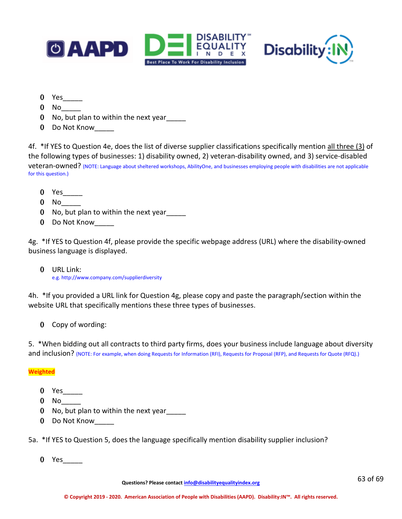



- 0 Yes\_\_\_\_\_
- 0 No\_\_\_\_\_
- 0 No, but plan to within the next year\_\_\_\_\_
- 0 Do Not Know\_\_\_\_\_

4f. \*If YES to Question 4e, does the list of diverse supplier classifications specifically mention all three (3) of the following types of businesses: 1) disability owned, 2) veteran-disability owned, and 3) service-disabled veteran-owned? (NOTE: Language about sheltered workshops, AbilityOne, and businesses employing people with disabilities are not applicable for this question.)

- 0 Yes\_\_\_\_\_
- $0$  No  $-$
- 0 No, but plan to within the next year
- 0 Do Not Know

4g. \*If YES to Question 4f, please provide the specific webpage address (URL) where the disability-owned business language is displayed.

0 URL Link: e.g. http://www.company.com/supplierdiversity

4h. \*If you provided a URL link for Question 4g, please copy and paste the paragraph/section within the website URL that specifically mentions these three types of businesses.

0 Copy of wording:

5. \*When bidding out all contracts to third party firms, does your business include language about diversity and inclusion? (NOTE: For example, when doing Requests for Information (RFI), Requests for Proposal (RFP), and Requests for Quote (RFQ).)

# **Weighted**

- 0 Yes\_\_\_\_\_
- $0$  No  $-$
- 0 No, but plan to within the next year
- 0 Do Not Know

5a. \*If YES to Question 5, does the language specifically mention disability supplier inclusion?

0 Yes\_\_\_\_\_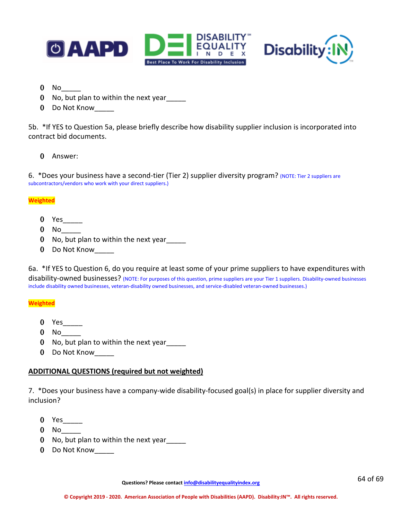



- $0$  No  $-$
- 0 No, but plan to within the next year
- 0 Do Not Know

5b. \*If YES to Question 5a, please briefly describe how disability supplier inclusion is incorporated into contract bid documents.

0 Answer:

6. \*Does your business have a second-tier (Tier 2) supplier diversity program? (NOTE: Tier 2 suppliers are subcontractors/vendors who work with your direct suppliers.)

### **Weighted**

- 0 Yes\_\_\_\_\_
- $0$  No
- 0 No, but plan to within the next year
- 0 Do Not Know

6a. \*If YES to Question 6, do you require at least some of your prime suppliers to have expenditures with disability-owned businesses? (NOTE: For purposes of this question, prime suppliers are your Tier 1 suppliers. Disability-owned businesses include disability owned businesses, veteran-disability owned businesses, and service-disabled veteran-owned businesses.)

### **Weighted**

- 0 Yes\_\_\_\_\_\_
- $0$  No
- 0 No, but plan to within the next year
- 0 Do Not Know

# **ADDITIONAL QUESTIONS (required but not weighted)**

7. \*Does your business have a company-wide disability-focused goal(s) in place for supplier diversity and inclusion?

- 0 Yes\_\_\_\_\_
- $0$  No
- 0 No, but plan to within the next year\_\_\_\_\_
- 0 Do Not Know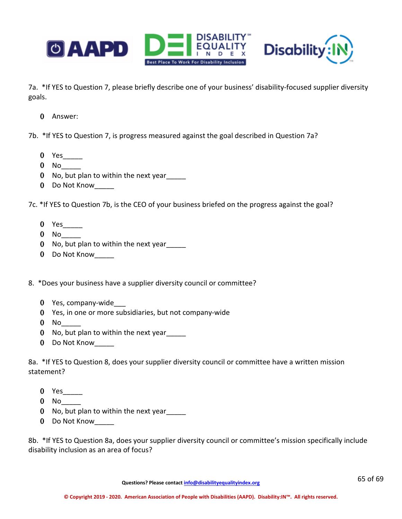

7a. \*If YES to Question 7, please briefly describe one of your business' disability-focused supplier diversity goals.

0 Answer:

7b. \*If YES to Question 7, is progress measured against the goal described in Question 7a?

- 0 Yes\_\_\_\_\_
- $0$  No
- 0 No, but plan to within the next year\_\_\_\_\_
- 0 Do Not Know

7c. \*If YES to Question 7b, is the CEO of your business briefed on the progress against the goal?

- 0 Yes
- $0$  No
- 0 No, but plan to within the next year\_\_\_\_\_
- 0 Do Not Know
- 8. \*Does your business have a supplier diversity council or committee?
	- 0 Yes, company-wide\_\_\_
	- 0 Yes, in one or more subsidiaries, but not company-wide
	- 0 No<sub>\_\_</sub>
	- 0 No, but plan to within the next year
	- 0 Do Not Know

8a. \*If YES to Question 8, does your supplier diversity council or committee have a written mission statement?

- 0 Yes\_\_\_\_\_
- $0$  No  $-$
- 0 No, but plan to within the next year
- 0 Do Not Know

8b. \*If YES to Question 8a, does your supplier diversity council or committee's mission specifically include disability inclusion as an area of focus?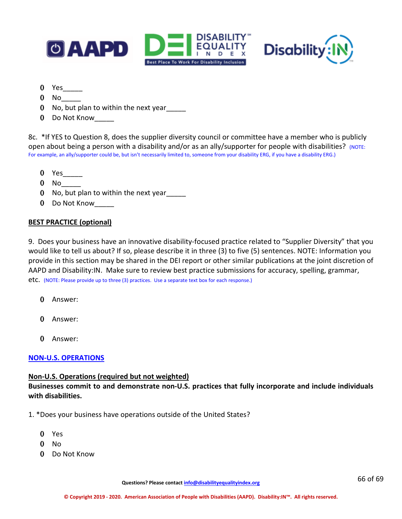



- $0$  Yes $\_\_$
- $0$  No
- 0 No, but plan to within the next year
- 0 Do Not Know

8c. \*If YES to Question 8, does the supplier diversity council or committee have a member who is publicly open about being a person with a disability and/or as an ally/supporter for people with disabilities? (NOTE: For example, an ally/supporter could be, but isn't necessarily limited to, someone from your disability ERG, if you have a disability ERG.)

- 0 Yes\_\_\_\_\_
- $0$  No
- 0 No, but plan to within the next year
- 0 Do Not Know\_\_\_\_\_

# **BEST PRACTICE (optional)**

9. Does your business have an innovative disability-focused practice related to "Supplier Diversity" that you would like to tell us about? If so, please describe it in three (3) to five (5) sentences. NOTE: Information you provide in this section may be shared in the DEI report or other similar publications at the joint discretion of AAPD and Disability:IN. Make sure to review best practice submissions for accuracy, spelling, grammar, etc. (NOTE: Please provide up to three (3) practices. Use a separate text box for each response.)

- 0 Answer:
- 0 Answer:
- 0 Answer:

# **NON-U.S. OPERATIONS**

# **Non-U.S. Operations (required but not weighted)**

**Businesses commit to and demonstrate non-U.S. practices that fully incorporate and include individuals with disabilities.**

- 1. \*Does your business have operations outside of the United States?
	- 0 Yes
	- 0 No
	- 0 Do Not Know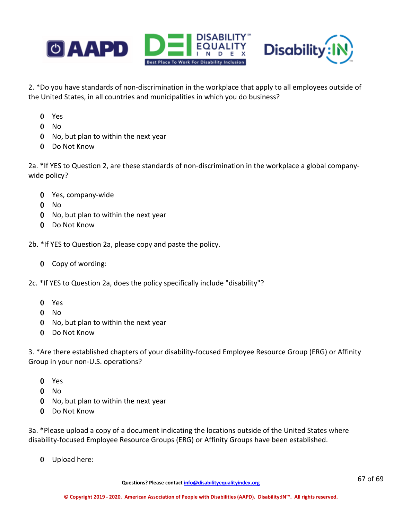

2. \*Do you have standards of non-discrimination in the workplace that apply to all employees outside of the United States, in all countries and municipalities in which you do business?

- Yes
- No
- No, but plan to within the next year
- Do Not Know

2a. \*If YES to Question 2, are these standards of non-discrimination in the workplace a global companywide policy?

- Yes, company-wide
- No
- No, but plan to within the next year
- Do Not Know

2b. \*If YES to Question 2a, please copy and paste the policy.

- Copy of wording:
- 2c. \*If YES to Question 2a, does the policy specifically include "disability"?
	- Yes
	- No
	- No, but plan to within the next year
	- Do Not Know

3. \*Are there established chapters of your disability-focused Employee Resource Group (ERG) or Affinity Group in your non-U.S. operations?

- Yes
- No
- No, but plan to within the next year
- Do Not Know

3a. \*Please upload a copy of a document indicating the locations outside of the United States where disability-focused Employee Resource Groups (ERG) or Affinity Groups have been established.

Upload here: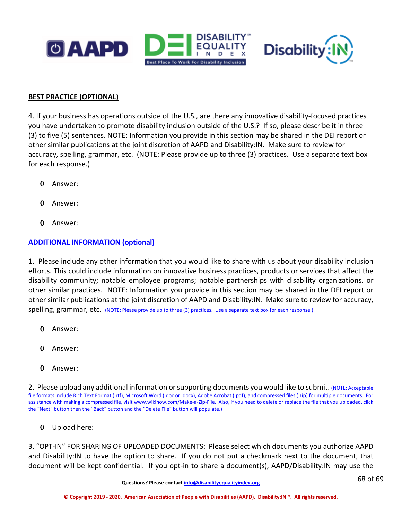



# **BEST PRACTICE (OPTIONAL)**

4. If your business has operations outside of the U.S., are there any innovative disability-focused practices you have undertaken to promote disability inclusion outside of the U.S.? If so, please describe it in three (3) to five (5) sentences. NOTE: Information you provide in this section may be shared in the DEI report or other similar publications at the joint discretion of AAPD and Disability:IN. Make sure to review for accuracy, spelling, grammar, etc. (NOTE: Please provide up to three (3) practices. Use a separate text box for each response.)

- 0 Answer:
- 0 Answer:
- 0 Answer:

# **ADDITIONAL INFORMATION (optional)**

1. Please include any other information that you would like to share with us about your disability inclusion efforts. This could include information on innovative business practices, products or services that affect the disability community; notable employee programs; notable partnerships with disability organizations, or other similar practices. NOTE: Information you provide in this section may be shared in the DEI report or other similar publications at the joint discretion of AAPD and Disability:IN. Make sure to review for accuracy, spelling, grammar, etc. (NOTE: Please provide up to three (3) practices. Use a separate text box for each response.)

- 0 Answer:
- 0 Answer:
- 0 Answer:

2. Please upload any additional information or supporting documents you would like to submit. (NOTE: Acceptable file formats include Rich Text Format (.rtf), Microsoft Word (.doc or .docx), Adobe Acrobat (.pdf), and compressed files (.zip) for multiple documents. For assistance with making a compressed file, visi[t www.wikihow.com/Make-a-Zip-File.](http://www.wikihow.com/Make-a-Zip-File) Also, if you need to delete or replace the file that you uploaded, click the "Next" button then the "Back" button and the "Delete File" button will populate.)

0 Upload here:

3. "OPT-IN" FOR SHARING OF UPLOADED DOCUMENTS: Please select which documents you authorize AAPD and Disability:IN to have the option to share. If you do not put a checkmark next to the document, that document will be kept confidential. If you opt-in to share a document(s), AAPD/Disability:IN may use the